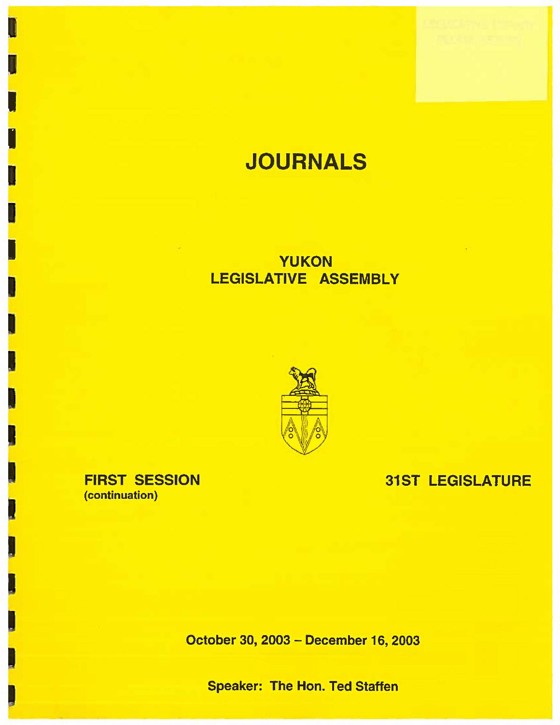# **JOURNALS**

## **YUKON LEGISLATIVE ASSEMBLY**



**FIRST SESSION**  (continuation)

I

I

I

I

I

**I** 

I

 $\mathbf{I}$ 

**31ST LEGISLATURE** 

October 30, 2003 - December 16, 2003

Speaker: The Hon. Ted Staffen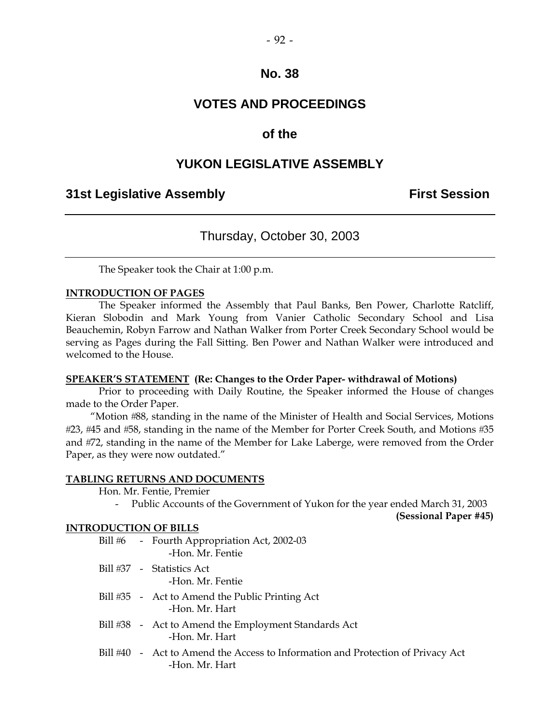## **VOTES AND PROCEEDINGS**

## **of the**

## **YUKON LEGISLATIVE ASSEMBLY**

## **31st Legislative Assembly First Session**

## Thursday, October 30, 2003

The Speaker took the Chair at 1:00 p.m.

#### **INTRODUCTION OF PAGES**

 The Speaker informed the Assembly that Paul Banks, Ben Power, Charlotte Ratcliff, Kieran Slobodin and Mark Young from Vanier Catholic Secondary School and Lisa Beauchemin, Robyn Farrow and Nathan Walker from Porter Creek Secondary School would be serving as Pages during the Fall Sitting. Ben Power and Nathan Walker were introduced and welcomed to the House.

#### **SPEAKER'S STATEMENT (Re: Changes to the Order Paper- withdrawal of Motions)**

 Prior to proceeding with Daily Routine, the Speaker informed the House of changes made to the Order Paper.

 "Motion 88, standing in the name of the Minister of Health and Social Services, Motions #23, #45 and #58, standing in the name of the Member for Porter Creek South, and Motions #35 and #72, standing in the name of the Member for Lake Laberge, were removed from the Order Paper, as they were now outdated."

#### **TABLING RETURNS AND DOCUMENTS**

Hon. Mr. Fentie, Premier

- Public Accounts of the Government of Yukon for the year ended March 31, 2003

**(Sessional Paper #45)** 

#### **INTRODUCTION OF BILLS**

| Bill #6 | - Fourth Appropriation Act, 2002-03<br>-Hon. Mr. Fentie                                           |
|---------|---------------------------------------------------------------------------------------------------|
|         | Bill #37 - Statistics Act<br>-Hon. Mr. Fentie                                                     |
|         | Bill #35 - Act to Amend the Public Printing Act<br>-Hon, Mr. Hart                                 |
|         | Bill #38 - Act to Amend the Employment Standards Act<br>-Hon, Mr. Hart                            |
|         | Bill #40 - Act to Amend the Access to Information and Protection of Privacy Act<br>-Hon. Mr. Hart |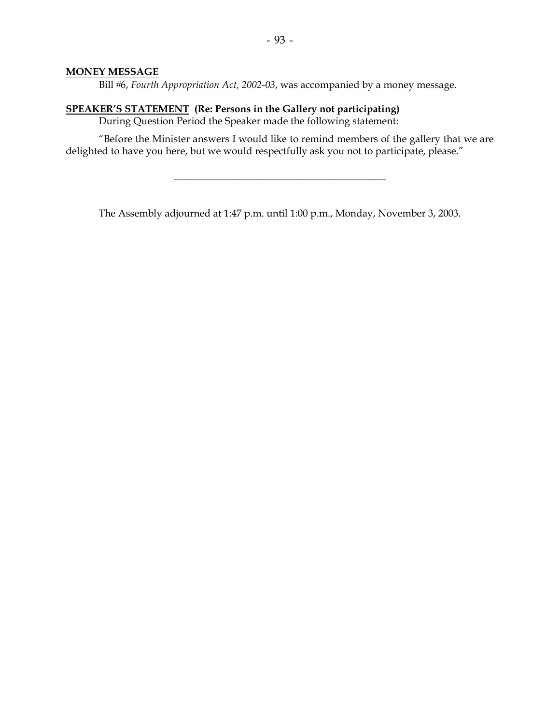#### **MONEY MESSAGE**

Bill #6, *Fourth Appropriation Act, 2002-03*, was accompanied by a money message.

#### **SPEAKER'S STATEMENT (Re: Persons in the Gallery not participating)**

During Question Period the Speaker made the following statement:

"Before the Minister answers I would like to remind members of the gallery that we are delighted to have you here, but we would respectfully ask you not to participate, please."

 $\overline{\phantom{a}}$  , and the set of the set of the set of the set of the set of the set of the set of the set of the set of the set of the set of the set of the set of the set of the set of the set of the set of the set of the s

The Assembly adjourned at 1:47 p.m. until 1:00 p.m., Monday, November 3, 2003.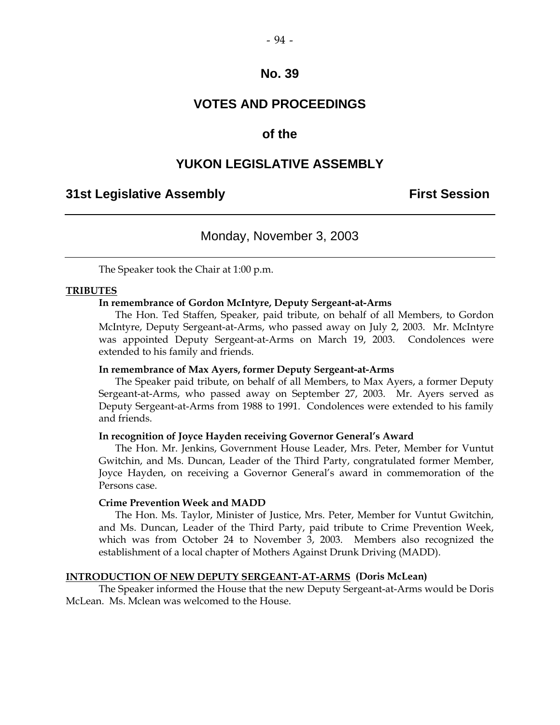## **VOTES AND PROCEEDINGS**

## **of the**

## **YUKON LEGISLATIVE ASSEMBLY**

## **31st Legislative Assembly First Session**

## Monday, November 3, 2003

The Speaker took the Chair at 1:00 p.m.

#### **TRIBUTES**

#### **In remembrance of Gordon McIntyre, Deputy Sergeant-at-Arms**

 The Hon. Ted Staffen, Speaker, paid tribute, on behalf of all Members, to Gordon McIntyre, Deputy Sergeant-at-Arms, who passed away on July 2, 2003. Mr. McIntyre was appointed Deputy Sergeant-at-Arms on March 19, 2003. Condolences were extended to his family and friends.

#### **In remembrance of Max Ayers, former Deputy Sergeant-at-Arms**

 The Speaker paid tribute, on behalf of all Members, to Max Ayers, a former Deputy Sergeant-at-Arms, who passed away on September 27, 2003. Mr. Ayers served as Deputy Sergeant-at-Arms from 1988 to 1991. Condolences were extended to his family and friends.

#### **In recognition of Joyce Hayden receiving Governor General's Award**

 The Hon. Mr. Jenkins, Government House Leader, Mrs. Peter, Member for Vuntut Gwitchin, and Ms. Duncan, Leader of the Third Party, congratulated former Member, Joyce Hayden, on receiving a Governor General's award in commemoration of the Persons case.

#### **Crime Prevention Week and MADD**

 The Hon. Ms. Taylor, Minister of Justice, Mrs. Peter, Member for Vuntut Gwitchin, and Ms. Duncan, Leader of the Third Party, paid tribute to Crime Prevention Week, which was from October 24 to November 3, 2003. Members also recognized the establishment of a local chapter of Mothers Against Drunk Driving (MADD).

#### **INTRODUCTION OF NEW DEPUTY SERGEANT-AT-ARMS (Doris McLean)**

 The Speaker informed the House that the new Deputy Sergeant-at-Arms would be Doris McLean. Ms. Mclean was welcomed to the House.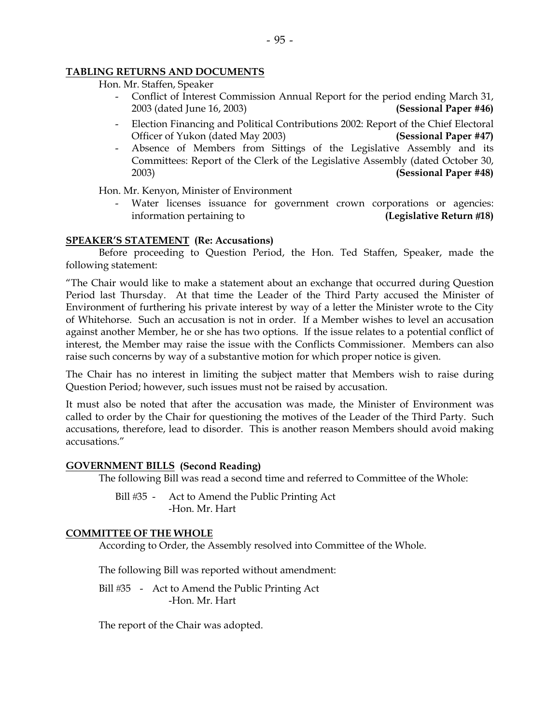#### **TABLING RETURNS AND DOCUMENTS**

- Hon. Mr. Staffen, Speaker
	- Conflict of Interest Commission Annual Report for the period ending March 31, 2003 (dated June 16, 2003) **(Sessional Paper #46)**
	- Election Financing and Political Contributions 2002: Report of the Chief Electoral Officer of Yukon (dated May 2003) **(Sessional Paper #47)**
	- Absence of Members from Sittings of the Legislative Assembly and its Committees: Report of the Clerk of the Legislative Assembly (dated October 30, 2003) **(Sessional Paper #48)**

Hon. Mr. Kenyon, Minister of Environment

Water licenses issuance for government crown corporations or agencies: information pertaining to **(Legislative Return 18)** 

#### **SPEAKER'S STATEMENT (Re: Accusations)**

 Before proceeding to Question Period, the Hon. Ted Staffen, Speaker, made the following statement:

"The Chair would like to make a statement about an exchange that occurred during Question Period last Thursday. At that time the Leader of the Third Party accused the Minister of Environment of furthering his private interest by way of a letter the Minister wrote to the City of Whitehorse. Such an accusation is not in order. If a Member wishes to level an accusation against another Member, he or she has two options. If the issue relates to a potential conflict of interest, the Member may raise the issue with the Conflicts Commissioner. Members can also raise such concerns by way of a substantive motion for which proper notice is given.

The Chair has no interest in limiting the subject matter that Members wish to raise during Question Period; however, such issues must not be raised by accusation.

It must also be noted that after the accusation was made, the Minister of Environment was called to order by the Chair for questioning the motives of the Leader of the Third Party. Such accusations, therefore, lead to disorder. This is another reason Members should avoid making accusations."

## **GOVERNMENT BILLS (Second Reading)**

The following Bill was read a second time and referred to Committee of the Whole:

Bill #35 - Act to Amend the Public Printing Act -Hon. Mr. Hart

#### **COMMITTEE OF THE WHOLE**

According to Order, the Assembly resolved into Committee of the Whole.

The following Bill was reported without amendment:

Bill #35 - Act to Amend the Public Printing Act -Hon. Mr. Hart

The report of the Chair was adopted.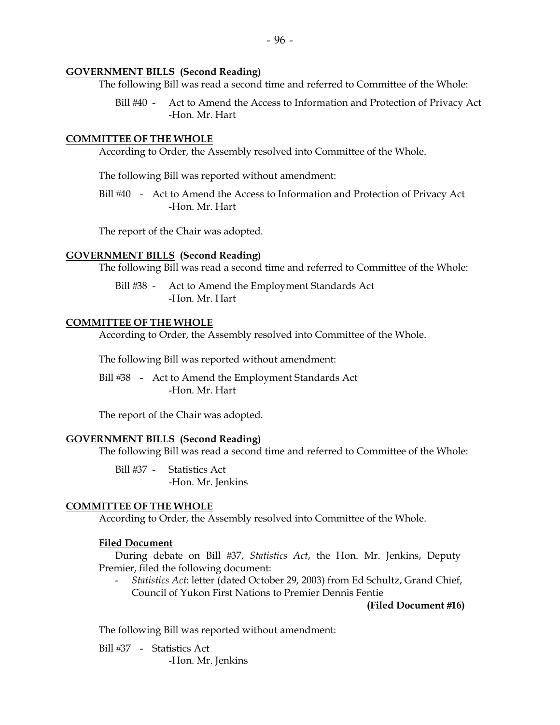#### **GOVERNMENT BILLS (Second Reading)**

The following Bill was read a second time and referred to Committee of the Whole:

Bill #40 - Act to Amend the Access to Information and Protection of Privacy Act -Hon. Mr. Hart

#### **COMMITTEE OF THE WHOLE**

According to Order, the Assembly resolved into Committee of the Whole.

The following Bill was reported without amendment:

Bill #40 - Act to Amend the Access to Information and Protection of Privacy Act -Hon. Mr. Hart

The report of the Chair was adopted.

#### **GOVERNMENT BILLS (Second Reading)**

The following Bill was read a second time and referred to Committee of the Whole:

Bill #38 - Act to Amend the Employment Standards Act -Hon. Mr. Hart

#### **COMMITTEE OF THE WHOLE**

According to Order, the Assembly resolved into Committee of the Whole.

The following Bill was reported without amendment:

Bill #38 - Act to Amend the Employment Standards Act -Hon. Mr. Hart

The report of the Chair was adopted.

#### **GOVERNMENT BILLS (Second Reading)**

The following Bill was read a second time and referred to Committee of the Whole:

Bill #37 - Statistics Act -Hon. Mr. Jenkins

#### **COMMITTEE OF THE WHOLE**

According to Order, the Assembly resolved into Committee of the Whole.

#### **Filed Document**

 During debate on Bill 37, *Statistics Act*, the Hon. Mr. Jenkins, Deputy Premier, filed the following document:

 - *Statistics Act*: letter (dated October 29, 2003) from Ed Schultz, Grand Chief, Council of Yukon First Nations to Premier Dennis Fentie

**(Filed Document 16)** 

The following Bill was reported without amendment:

Bill #37 - Statistics Act -Hon. Mr. Jenkins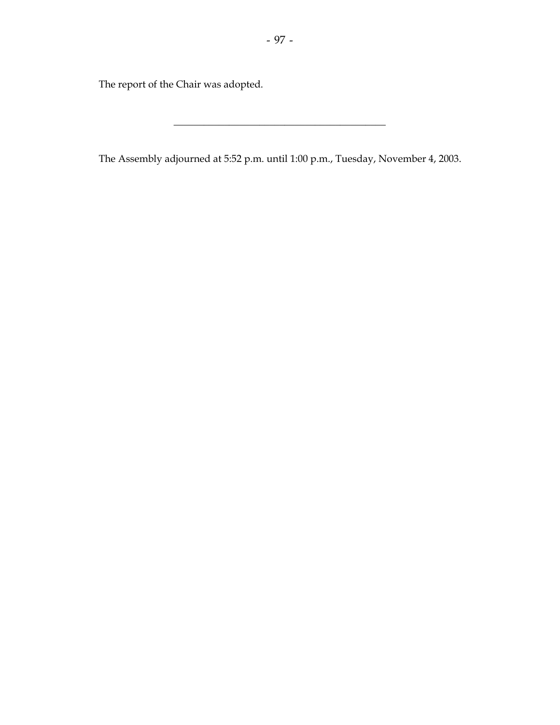The report of the Chair was adopted.

The Assembly adjourned at 5:52 p.m. until 1:00 p.m., Tuesday, November 4, 2003.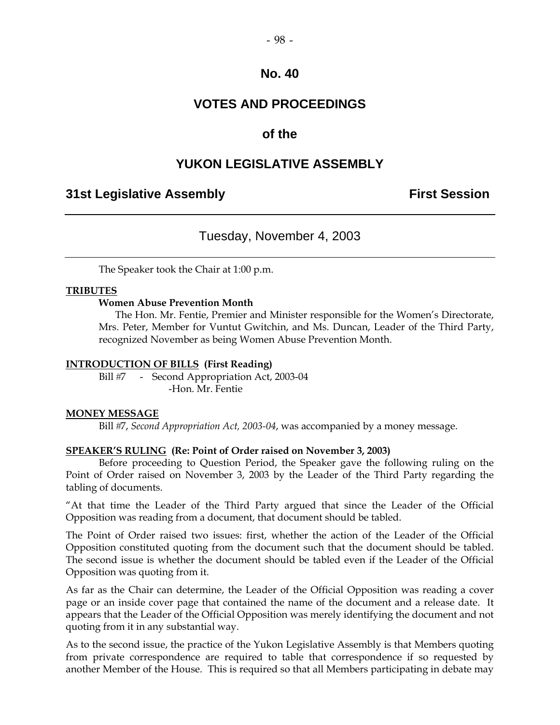## **VOTES AND PROCEEDINGS**

## **of the**

## **YUKON LEGISLATIVE ASSEMBLY**

## **31st Legislative Assembly First Session**

## Tuesday, November 4, 2003

The Speaker took the Chair at 1:00 p.m.

## **TRIBUTES**

#### **Women Abuse Prevention Month**

 The Hon. Mr. Fentie, Premier and Minister responsible for the Women's Directorate, Mrs. Peter, Member for Vuntut Gwitchin, and Ms. Duncan, Leader of the Third Party, recognized November as being Women Abuse Prevention Month.

## **INTRODUCTION OF BILLS (First Reading)**

Bill #7 - Second Appropriation Act, 2003-04 -Hon. Mr. Fentie

#### **MONEY MESSAGE**

Bill #7, *Second Appropriation Act, 2003-04*, was accompanied by a money message.

#### **SPEAKER'S RULING (Re: Point of Order raised on November 3, 2003)**

Before proceeding to Question Period, the Speaker gave the following ruling on the Point of Order raised on November 3, 2003 by the Leader of the Third Party regarding the tabling of documents.

"At that time the Leader of the Third Party argued that since the Leader of the Official Opposition was reading from a document, that document should be tabled.

The Point of Order raised two issues: first, whether the action of the Leader of the Official Opposition constituted quoting from the document such that the document should be tabled. The second issue is whether the document should be tabled even if the Leader of the Official Opposition was quoting from it.

As far as the Chair can determine, the Leader of the Official Opposition was reading a cover page or an inside cover page that contained the name of the document and a release date. It appears that the Leader of the Official Opposition was merely identifying the document and not quoting from it in any substantial way.

As to the second issue, the practice of the Yukon Legislative Assembly is that Members quoting from private correspondence are required to table that correspondence if so requested by another Member of the House. This is required so that all Members participating in debate may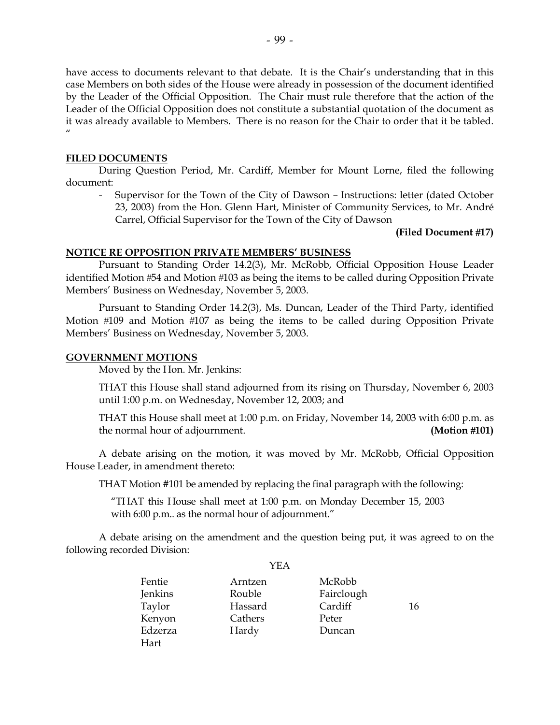have access to documents relevant to that debate. It is the Chair's understanding that in this case Members on both sides of the House were already in possession of the document identified by the Leader of the Official Opposition. The Chair must rule therefore that the action of the Leader of the Official Opposition does not constitute a substantial quotation of the document as it was already available to Members. There is no reason for the Chair to order that it be tabled.  $^{\prime\prime}$ 

## **FILED DOCUMENTS**

 During Question Period, Mr. Cardiff, Member for Mount Lorne, filed the following document:

 - Supervisor for the Town of the City of Dawson – Instructions: letter (dated October 23, 2003) from the Hon. Glenn Hart, Minister of Community Services, to Mr. André Carrel, Official Supervisor for the Town of the City of Dawson

**(Filed Document 17)** 

#### **NOTICE RE OPPOSITION PRIVATE MEMBERS' BUSINESS**

 Pursuant to Standing Order 14.2(3), Mr. McRobb, Official Opposition House Leader identified Motion #54 and Motion #103 as being the items to be called during Opposition Private Members' Business on Wednesday, November 5, 2003.

 Pursuant to Standing Order 14.2(3), Ms. Duncan, Leader of the Third Party, identified Motion #109 and Motion #107 as being the items to be called during Opposition Private Members' Business on Wednesday, November 5, 2003.

#### **GOVERNMENT MOTIONS**

Moved by the Hon. Mr. Jenkins:

 THAT this House shall stand adjourned from its rising on Thursday, November 6, 2003 until 1:00 p.m. on Wednesday, November 12, 2003; and

 THAT this House shall meet at 1:00 p.m. on Friday, November 14, 2003 with 6:00 p.m. as the normal hour of adjournment. **(Motion 101)** 

 A debate arising on the motion, it was moved by Mr. McRobb, Official Opposition House Leader, in amendment thereto:

THAT Motion #101 be amended by replacing the final paragraph with the following:

 "THAT this House shall meet at 1:00 p.m. on Monday December 15, 2003 with 6:00 p.m.. as the normal hour of adjournment."

 A debate arising on the amendment and the question being put, it was agreed to on the following recorded Division:

|         | YEA     |            |    |
|---------|---------|------------|----|
| Fentie  | Arntzen | McRobb     |    |
| Jenkins | Rouble  | Fairclough |    |
| Taylor  | Hassard | Cardiff    | 16 |
| Kenyon  | Cathers | Peter      |    |
| Edzerza | Hardy   | Duncan     |    |
| Hart    |         |            |    |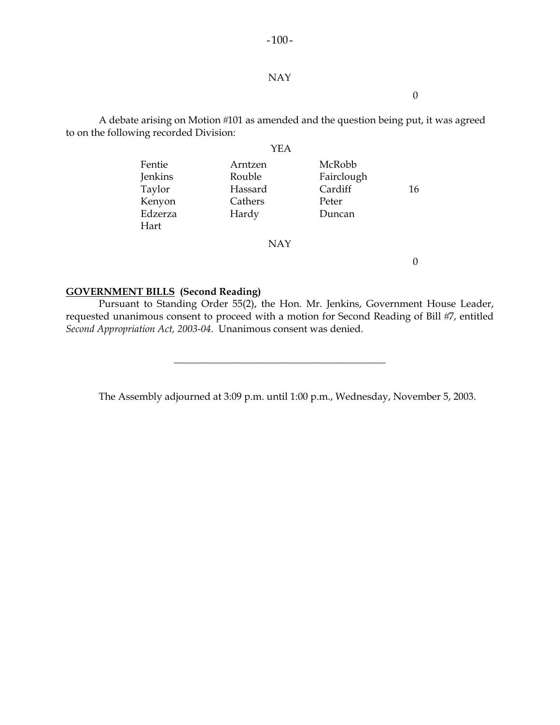#### NAY

 $-100-$ 

0

A debate arising on Motion #101 as amended and the question being put, it was agreed to on the following recorded Division:

|         | YEA     |            |    |
|---------|---------|------------|----|
| Fentie  | Arntzen | McRobb     |    |
| Jenkins | Rouble  | Fairclough |    |
| Taylor  | Hassard | Cardiff    | 16 |
| Kenyon  | Cathers | Peter      |    |
| Edzerza | Hardy   | Duncan     |    |
| Hart    |         |            |    |
|         | NAY     |            |    |

#### **GOVERNMENT BILLS (Second Reading)**

 Pursuant to Standing Order 55(2), the Hon. Mr. Jenkins, Government House Leader, requested unanimous consent to proceed with a motion for Second Reading of Bill #7, entitled *Second Appropriation Act, 2003-04*. Unanimous consent was denied.

\_\_\_\_\_\_\_\_\_\_\_\_\_\_\_\_\_\_\_\_\_\_\_\_\_\_\_\_\_\_\_\_\_\_\_\_\_\_\_\_\_\_

The Assembly adjourned at 3:09 p.m. until 1:00 p.m., Wednesday, November 5, 2003.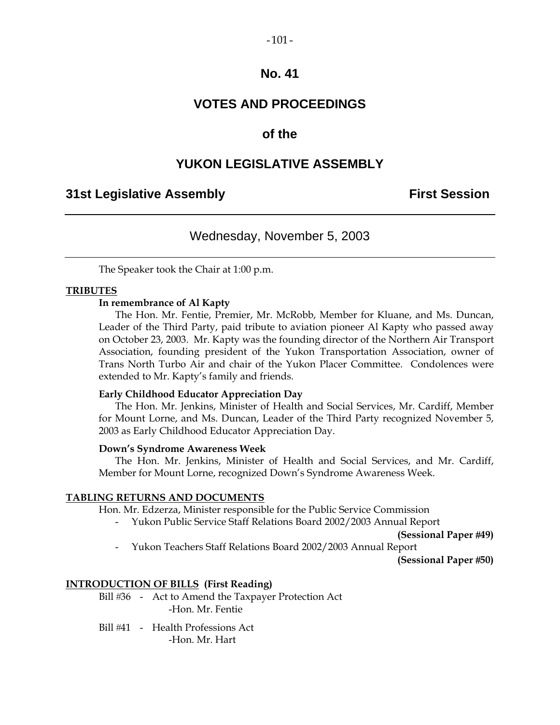#### $-101-$

## **No. 41**

## **VOTES AND PROCEEDINGS**

## **of the**

## **YUKON LEGISLATIVE ASSEMBLY**

## **31st Legislative Assembly First Session**

## Wednesday, November 5, 2003

The Speaker took the Chair at 1:00 p.m.

#### **TRIBUTES**

#### **In remembrance of Al Kapty**

 The Hon. Mr. Fentie, Premier, Mr. McRobb, Member for Kluane, and Ms. Duncan, Leader of the Third Party, paid tribute to aviation pioneer Al Kapty who passed away on October 23, 2003. Mr. Kapty was the founding director of the Northern Air Transport Association, founding president of the Yukon Transportation Association, owner of Trans North Turbo Air and chair of the Yukon Placer Committee. Condolences were extended to Mr. Kapty's family and friends.

#### **Early Childhood Educator Appreciation Day**

 The Hon. Mr. Jenkins, Minister of Health and Social Services, Mr. Cardiff, Member for Mount Lorne, and Ms. Duncan, Leader of the Third Party recognized November 5, 2003 as Early Childhood Educator Appreciation Day.

#### **Down's Syndrome Awareness Week**

 The Hon. Mr. Jenkins, Minister of Health and Social Services, and Mr. Cardiff, Member for Mount Lorne, recognized Down's Syndrome Awareness Week.

#### **TABLING RETURNS AND DOCUMENTS**

Hon. Mr. Edzerza, Minister responsible for the Public Service Commission

- Yukon Public Service Staff Relations Board 2002/2003 Annual Report

**(Sessional Paper 49)** 

- Yukon Teachers Staff Relations Board 2002/2003 Annual Report

**(Sessional Paper 50)** 

#### **INTRODUCTION OF BILLS (First Reading)**

Bill #36 - Act to Amend the Taxpayer Protection Act -Hon. Mr. Fentie

Bill #41 - Health Professions Act -Hon. Mr. Hart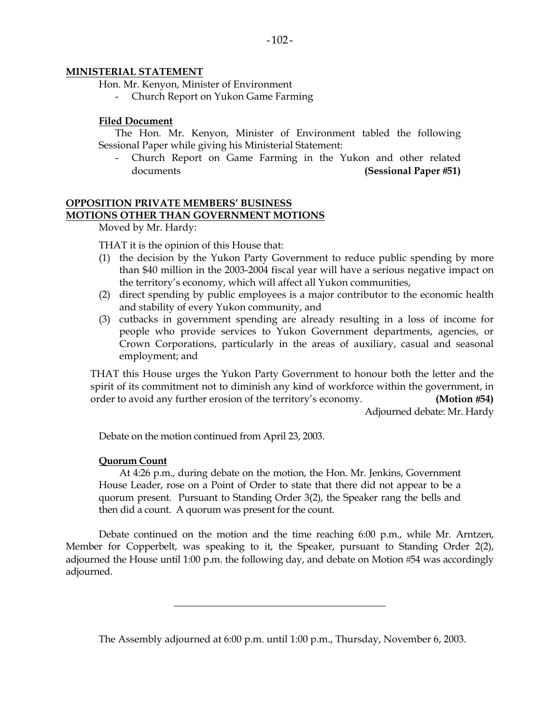#### **MINISTERIAL STATEMENT**

Hon. Mr. Kenyon, Minister of Environment

- Church Report on Yukon Game Farming

#### **Filed Document**

 The Hon. Mr. Kenyon, Minister of Environment tabled the following Sessional Paper while giving his Ministerial Statement:

Church Report on Game Farming in the Yukon and other related documents **(Sessional Paper 51)**

## **OPPOSITION PRIVATE MEMBERS' BUSINESS MOTIONS OTHER THAN GOVERNMENT MOTIONS**

Moved by Mr. Hardy:

THAT it is the opinion of this House that:

- (1) the decision by the Yukon Party Government to reduce public spending by more than \$40 million in the 2003-2004 fiscal year will have a serious negative impact on the territory's economy, which will affect all Yukon communities,
- (2) direct spending by public employees is a major contributor to the economic health and stability of every Yukon community, and
- (3) cutbacks in government spending are already resulting in a loss of income for people who provide services to Yukon Government departments, agencies, or Crown Corporations, particularly in the areas of auxiliary, casual and seasonal employment; and

 THAT this House urges the Yukon Party Government to honour both the letter and the spirit of its commitment not to diminish any kind of workforce within the government, in order to avoid any further erosion of the territory's economy. **(Motion 54)** 

Adjourned debate: Mr. Hardy

Debate on the motion continued from April 23, 2003.

#### **Quorum Count**

 At 4:26 p.m., during debate on the motion, the Hon. Mr. Jenkins, Government House Leader, rose on a Point of Order to state that there did not appear to be a quorum present. Pursuant to Standing Order 3(2), the Speaker rang the bells and then did a count. A quorum was present for the count.

 Debate continued on the motion and the time reaching 6:00 p.m., while Mr. Arntzen, Member for Copperbelt, was speaking to it, the Speaker, pursuant to Standing Order 2(2), adjourned the House until 1:00 p.m. the following day, and debate on Motion  $#54$  was accordingly adjourned.

The Assembly adjourned at 6:00 p.m. until 1:00 p.m., Thursday, November 6, 2003.

\_\_\_\_\_\_\_\_\_\_\_\_\_\_\_\_\_\_\_\_\_\_\_\_\_\_\_\_\_\_\_\_\_\_\_\_\_\_\_\_\_\_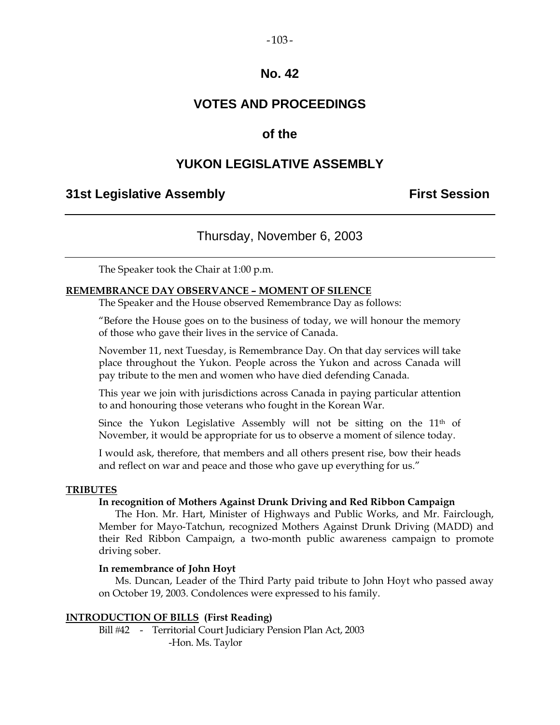## $-103-$

## **No. 42**

## **VOTES AND PROCEEDINGS**

## **of the**

## **YUKON LEGISLATIVE ASSEMBLY**

## **31st Legislative Assembly First Session**

## Thursday, November 6, 2003

The Speaker took the Chair at 1:00 p.m.

#### **REMEMBRANCE DAY OBSERVANCE – MOMENT OF SILENCE**

The Speaker and the House observed Remembrance Day as follows:

 "Before the House goes on to the business of today, we will honour the memory of those who gave their lives in the service of Canada.

 November 11, next Tuesday, is Remembrance Day. On that day services will take place throughout the Yukon. People across the Yukon and across Canada will pay tribute to the men and women who have died defending Canada.

 This year we join with jurisdictions across Canada in paying particular attention to and honouring those veterans who fought in the Korean War.

Since the Yukon Legislative Assembly will not be sitting on the 11<sup>th</sup> of November, it would be appropriate for us to observe a moment of silence today.

 I would ask, therefore, that members and all others present rise, bow their heads and reflect on war and peace and those who gave up everything for us."

#### **TRIBUTES**

#### **In recognition of Mothers Against Drunk Driving and Red Ribbon Campaign**

 The Hon. Mr. Hart, Minister of Highways and Public Works, and Mr. Fairclough, Member for Mayo-Tatchun, recognized Mothers Against Drunk Driving (MADD) and their Red Ribbon Campaign, a two-month public awareness campaign to promote driving sober.

#### **In remembrance of John Hoyt**

 Ms. Duncan, Leader of the Third Party paid tribute to John Hoyt who passed away on October 19, 2003. Condolences were expressed to his family.

#### **INTRODUCTION OF BILLS (First Reading)**

 Bill 42 - Territorial Court Judiciary Pension Plan Act, 2003 -Hon. Ms. Taylor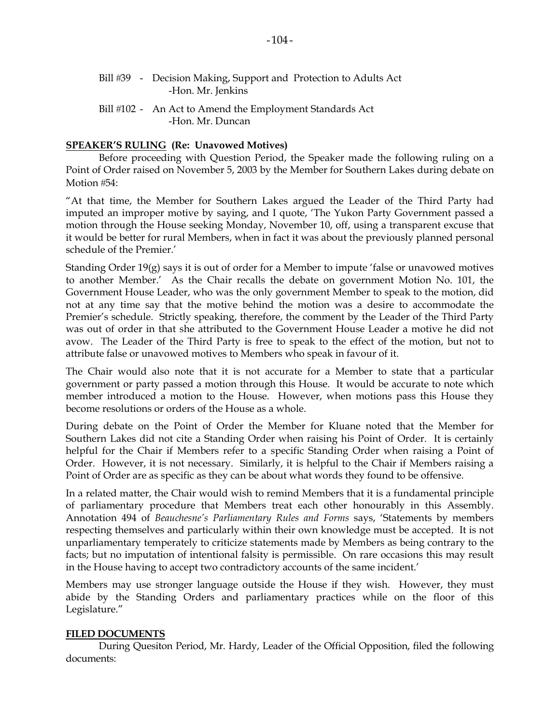## **SPEAKER'S RULING (Re: Unavowed Motives)**

-Hon. Mr. Duncan

 Before proceeding with Question Period, the Speaker made the following ruling on a Point of Order raised on November 5, 2003 by the Member for Southern Lakes during debate on Motion #54:

"At that time, the Member for Southern Lakes argued the Leader of the Third Party had imputed an improper motive by saying, and I quote, 'The Yukon Party Government passed a motion through the House seeking Monday, November 10, off, using a transparent excuse that it would be better for rural Members, when in fact it was about the previously planned personal schedule of the Premier.'

Standing Order 19(g) says it is out of order for a Member to impute 'false or unavowed motives to another Member.' As the Chair recalls the debate on government Motion No. 101, the Government House Leader, who was the only government Member to speak to the motion, did not at any time say that the motive behind the motion was a desire to accommodate the Premier's schedule. Strictly speaking, therefore, the comment by the Leader of the Third Party was out of order in that she attributed to the Government House Leader a motive he did not avow. The Leader of the Third Party is free to speak to the effect of the motion, but not to attribute false or unavowed motives to Members who speak in favour of it.

The Chair would also note that it is not accurate for a Member to state that a particular government or party passed a motion through this House. It would be accurate to note which member introduced a motion to the House. However, when motions pass this House they become resolutions or orders of the House as a whole.

During debate on the Point of Order the Member for Kluane noted that the Member for Southern Lakes did not cite a Standing Order when raising his Point of Order. It is certainly helpful for the Chair if Members refer to a specific Standing Order when raising a Point of Order. However, it is not necessary. Similarly, it is helpful to the Chair if Members raising a Point of Order are as specific as they can be about what words they found to be offensive.

In a related matter, the Chair would wish to remind Members that it is a fundamental principle of parliamentary procedure that Members treat each other honourably in this Assembly. Annotation 494 of *Beauchesne's Parliamentary Rules and Forms* says, 'Statements by members respecting themselves and particularly within their own knowledge must be accepted. It is not unparliamentary temperately to criticize statements made by Members as being contrary to the facts; but no imputation of intentional falsity is permissible. On rare occasions this may result in the House having to accept two contradictory accounts of the same incident.'

Members may use stronger language outside the House if they wish. However, they must abide by the Standing Orders and parliamentary practices while on the floor of this Legislature."

#### **FILED DOCUMENTS**

 During Quesiton Period, Mr. Hardy, Leader of the Official Opposition, filed the following documents: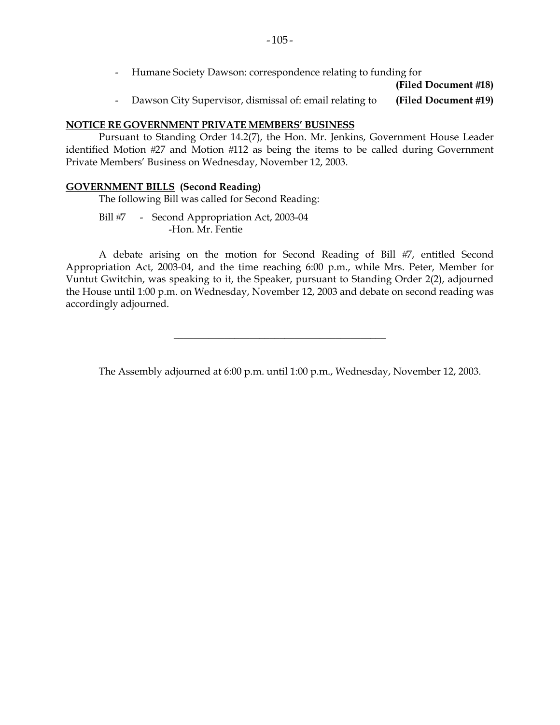- Humane Society Dawson: correspondence relating to funding for

**(Filed Document 18)** 

- Dawson City Supervisor, dismissal of: email relating to **(Filed Document 19)** 

#### **NOTICE RE GOVERNMENT PRIVATE MEMBERS' BUSINESS**

 Pursuant to Standing Order 14.2(7), the Hon. Mr. Jenkins, Government House Leader identified Motion #27 and Motion #112 as being the items to be called during Government Private Members' Business on Wednesday, November 12, 2003.

#### **GOVERNMENT BILLS (Second Reading)**

The following Bill was called for Second Reading:

Bill #7 - Second Appropriation Act, 2003-04 -Hon. Mr. Fentie

A debate arising on the motion for Second Reading of Bill #7, entitled Second Appropriation Act, 2003-04, and the time reaching 6:00 p.m., while Mrs. Peter, Member for Vuntut Gwitchin, was speaking to it, the Speaker, pursuant to Standing Order 2(2), adjourned the House until 1:00 p.m. on Wednesday, November 12, 2003 and debate on second reading was accordingly adjourned.

\_\_\_\_\_\_\_\_\_\_\_\_\_\_\_\_\_\_\_\_\_\_\_\_\_\_\_\_\_\_\_\_\_\_\_\_\_\_\_\_\_\_

The Assembly adjourned at 6:00 p.m. until 1:00 p.m., Wednesday, November 12, 2003.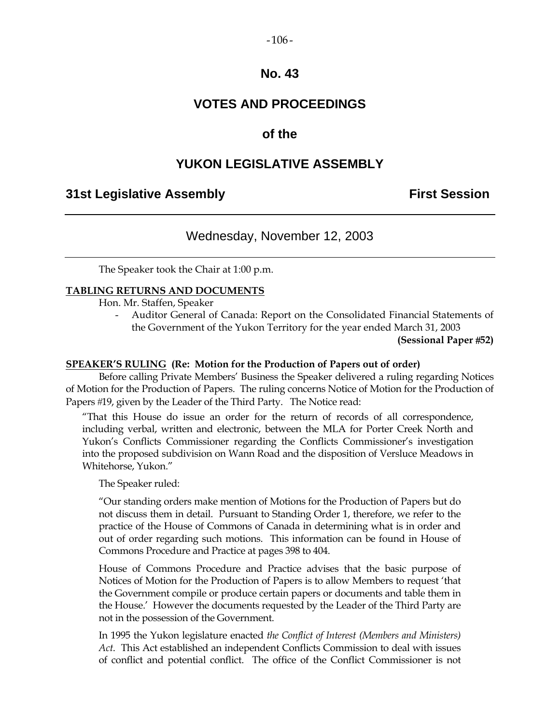#### $-106-$

## **No. 43**

## **VOTES AND PROCEEDINGS**

## **of the**

## **YUKON LEGISLATIVE ASSEMBLY**

## **31st Legislative Assembly First Session**

## Wednesday, November 12, 2003

The Speaker took the Chair at 1:00 p.m.

#### **TABLING RETURNS AND DOCUMENTS**

Hon. Mr. Staffen, Speaker

 - Auditor General of Canada: Report on the Consolidated Financial Statements of the Government of the Yukon Territory for the year ended March 31, 2003

**(Sessional Paper 52)** 

#### **SPEAKER'S RULING (Re: Motion for the Production of Papers out of order)**

 Before calling Private Members' Business the Speaker delivered a ruling regarding Notices of Motion for the Production of Papers. The ruling concerns Notice of Motion for the Production of Papers #19, given by the Leader of the Third Party. The Notice read:

 "That this House do issue an order for the return of records of all correspondence, including verbal, written and electronic, between the MLA for Porter Creek North and Yukon's Conflicts Commissioner regarding the Conflicts Commissioner's investigation into the proposed subdivision on Wann Road and the disposition of Versluce Meadows in Whitehorse, Yukon."

The Speaker ruled:

 "Our standing orders make mention of Motions for the Production of Papers but do not discuss them in detail. Pursuant to Standing Order 1, therefore, we refer to the practice of the House of Commons of Canada in determining what is in order and out of order regarding such motions. This information can be found in House of Commons Procedure and Practice at pages 398 to 404.

 House of Commons Procedure and Practice advises that the basic purpose of Notices of Motion for the Production of Papers is to allow Members to request 'that the Government compile or produce certain papers or documents and table them in the House.' However the documents requested by the Leader of the Third Party are not in the possession of the Government.

 In 1995 the Yukon legislature enacted *the Conflict of Interest (Members and Ministers) Act*. This Act established an independent Conflicts Commission to deal with issues of conflict and potential conflict. The office of the Conflict Commissioner is not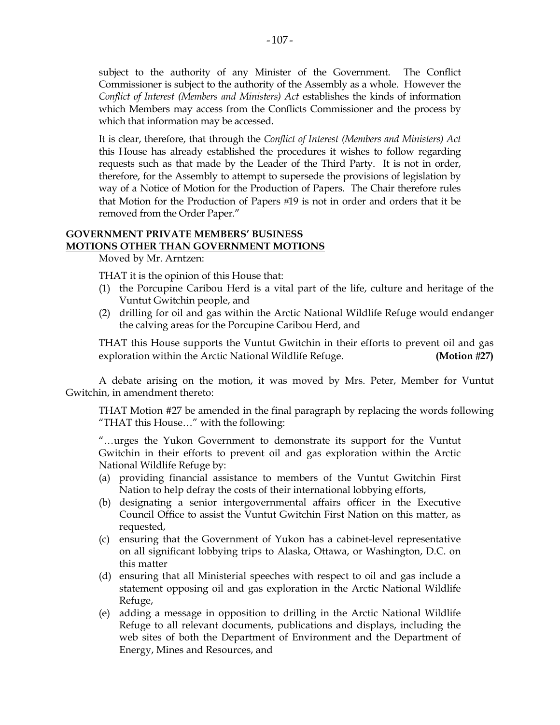It is clear, therefore, that through the *Conflict of Interest (Members and Ministers) Act*  this House has already established the procedures it wishes to follow regarding requests such as that made by the Leader of the Third Party. It is not in order, therefore, for the Assembly to attempt to supersede the provisions of legislation by way of a Notice of Motion for the Production of Papers. The Chair therefore rules that Motion for the Production of Papers #19 is not in order and orders that it be removed from the Order Paper."

## **GOVERNMENT PRIVATE MEMBERS' BUSINESS MOTIONS OTHER THAN GOVERNMENT MOTIONS**

Moved by Mr. Arntzen:

THAT it is the opinion of this House that:

- (1) the Porcupine Caribou Herd is a vital part of the life, culture and heritage of the Vuntut Gwitchin people, and
- (2) drilling for oil and gas within the Arctic National Wildlife Refuge would endanger the calving areas for the Porcupine Caribou Herd, and

 THAT this House supports the Vuntut Gwitchin in their efforts to prevent oil and gas exploration within the Arctic National Wildlife Refuge. **(Motion 27)** 

 A debate arising on the motion, it was moved by Mrs. Peter, Member for Vuntut Gwitchin, in amendment thereto:

THAT Motion #27 be amended in the final paragraph by replacing the words following "THAT this House…" with the following:

 "…urges the Yukon Government to demonstrate its support for the Vuntut Gwitchin in their efforts to prevent oil and gas exploration within the Arctic National Wildlife Refuge by:

- (a) providing financial assistance to members of the Vuntut Gwitchin First Nation to help defray the costs of their international lobbying efforts,
- (b) designating a senior intergovernmental affairs officer in the Executive Council Office to assist the Vuntut Gwitchin First Nation on this matter, as requested,
- (c) ensuring that the Government of Yukon has a cabinet-level representative on all significant lobbying trips to Alaska, Ottawa, or Washington, D.C. on this matter
- (d) ensuring that all Ministerial speeches with respect to oil and gas include a statement opposing oil and gas exploration in the Arctic National Wildlife Refuge,
- (e) adding a message in opposition to drilling in the Arctic National Wildlife Refuge to all relevant documents, publications and displays, including the web sites of both the Department of Environment and the Department of Energy, Mines and Resources, and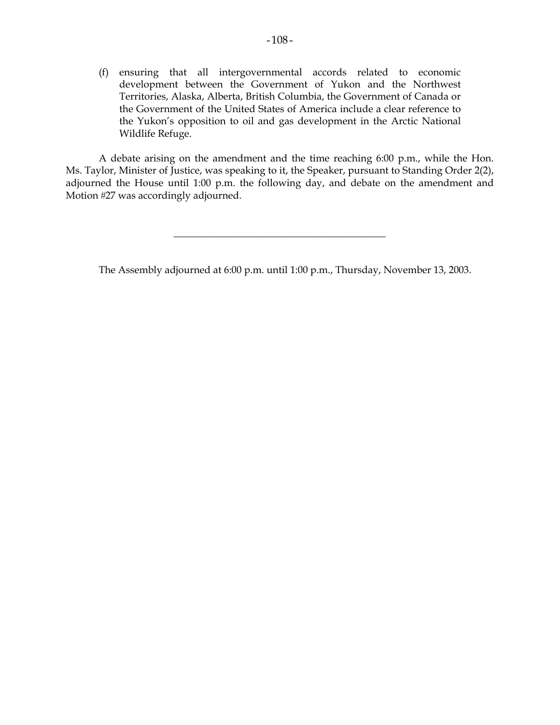(f) ensuring that all intergovernmental accords related to economic development between the Government of Yukon and the Northwest Territories, Alaska, Alberta, British Columbia, the Government of Canada or the Government of the United States of America include a clear reference to the Yukon's opposition to oil and gas development in the Arctic National Wildlife Refuge.

 A debate arising on the amendment and the time reaching 6:00 p.m., while the Hon. Ms. Taylor, Minister of Justice, was speaking to it, the Speaker, pursuant to Standing Order 2(2), adjourned the House until 1:00 p.m. the following day, and debate on the amendment and Motion #27 was accordingly adjourned.

The Assembly adjourned at 6:00 p.m. until 1:00 p.m., Thursday, November 13, 2003.

\_\_\_\_\_\_\_\_\_\_\_\_\_\_\_\_\_\_\_\_\_\_\_\_\_\_\_\_\_\_\_\_\_\_\_\_\_\_\_\_\_\_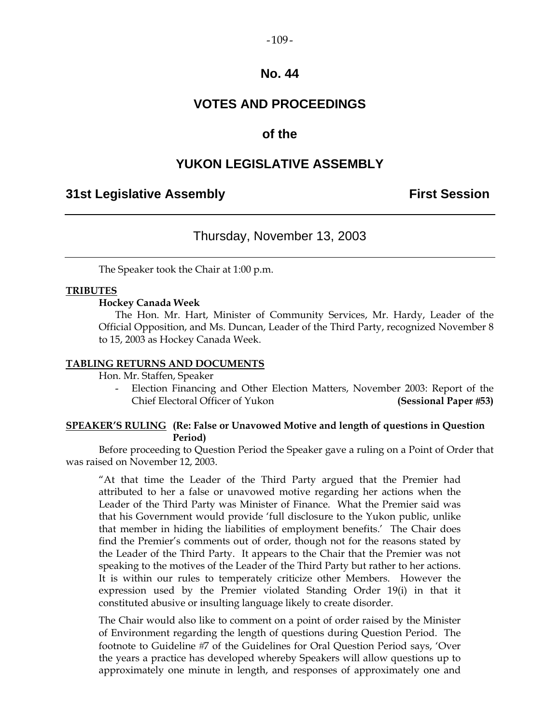#### $-109-$

## **No. 44**

## **VOTES AND PROCEEDINGS**

## **of the**

## **YUKON LEGISLATIVE ASSEMBLY**

## **31st Legislative Assembly First Session**

## Thursday, November 13, 2003

The Speaker took the Chair at 1:00 p.m.

#### **TRIBUTES**

#### **Hockey Canada Week**

 The Hon. Mr. Hart, Minister of Community Services, Mr. Hardy, Leader of the Official Opposition, and Ms. Duncan, Leader of the Third Party, recognized November 8 to 15, 2003 as Hockey Canada Week.

#### **TABLING RETURNS AND DOCUMENTS**

Hon. Mr. Staffen, Speaker

 - Election Financing and Other Election Matters, November 2003: Report of the Chief Electoral Officer of Yukon **(Sessional Paper 53)** 

#### **SPEAKER'S RULING (Re: False or Unavowed Motive and length of questions in Question Period)**

 Before proceeding to Question Period the Speaker gave a ruling on a Point of Order that was raised on November 12, 2003.

 "At that time the Leader of the Third Party argued that the Premier had attributed to her a false or unavowed motive regarding her actions when the Leader of the Third Party was Minister of Finance. What the Premier said was that his Government would provide 'full disclosure to the Yukon public, unlike that member in hiding the liabilities of employment benefits.' The Chair does find the Premier's comments out of order, though not for the reasons stated by the Leader of the Third Party. It appears to the Chair that the Premier was not speaking to the motives of the Leader of the Third Party but rather to her actions. It is within our rules to temperately criticize other Members. However the expression used by the Premier violated Standing Order 19(i) in that it constituted abusive or insulting language likely to create disorder.

The Chair would also like to comment on a point of order raised by the Minister of Environment regarding the length of questions during Question Period. The footnote to Guideline #7 of the Guidelines for Oral Ouestion Period says, 'Over the years a practice has developed whereby Speakers will allow questions up to approximately one minute in length, and responses of approximately one and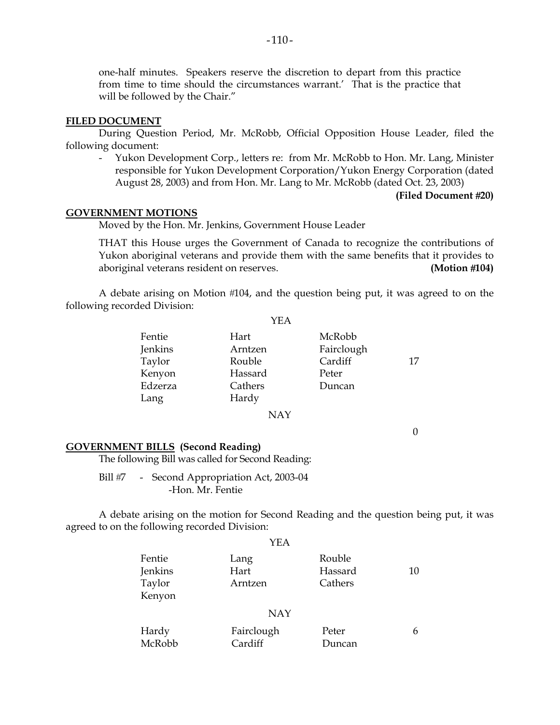one-half minutes. Speakers reserve the discretion to depart from this practice from time to time should the circumstances warrant.' That is the practice that will be followed by the Chair."

#### **FILED DOCUMENT**

 During Question Period, Mr. McRobb, Official Opposition House Leader, filed the following document:

 - Yukon Development Corp., letters re: from Mr. McRobb to Hon. Mr. Lang, Minister responsible for Yukon Development Corporation/Yukon Energy Corporation (dated August 28, 2003) and from Hon. Mr. Lang to Mr. McRobb (dated Oct. 23, 2003)

#### **(Filed Document 20)**

#### **GOVERNMENT MOTIONS**

Moved by the Hon. Mr. Jenkins, Government House Leader

 THAT this House urges the Government of Canada to recognize the contributions of Yukon aboriginal veterans and provide them with the same benefits that it provides to aboriginal veterans resident on reserves. **(Motion 104)**

A debate arising on Motion #104, and the question being put, it was agreed to on the following recorded Division:

|                   | YEA             |                      |    |
|-------------------|-----------------|----------------------|----|
| Fentie<br>Jenkins | Hart<br>Arntzen | McRobb<br>Fairclough |    |
| Taylor            | Rouble          | Cardiff              | 17 |
| Kenyon            | Hassard         | Peter                |    |
| Edzerza           | Cathers         | Duncan               |    |
| Lang              | Hardy           |                      |    |
|                   | NAY             |                      |    |

0

#### **GOVERNMENT BILLS (Second Reading)**

The following Bill was called for Second Reading:

Bill #7 - Second Appropriation Act, 2003-04 -Hon. Mr. Fentie

 A debate arising on the motion for Second Reading and the question being put, it was agreed to on the following recorded Division:

|                                       | YEA                     |                              |    |
|---------------------------------------|-------------------------|------------------------------|----|
| Fentie<br>Jenkins<br>Taylor<br>Kenyon | Lang<br>Hart<br>Arntzen | Rouble<br>Hassard<br>Cathers | 10 |
|                                       | <b>NAY</b>              |                              |    |
| Hardy<br>McRobb                       | Fairclough<br>Cardiff   | Peter<br>Duncan              | 6  |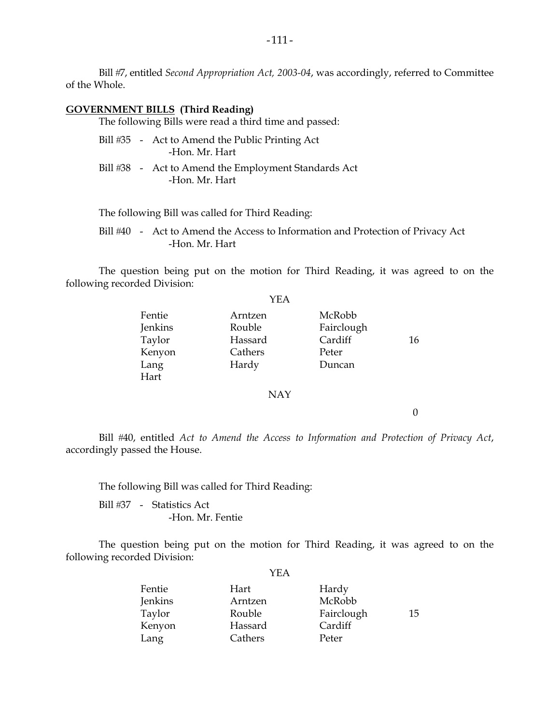Bill #7, entitled *Second Appropriation Act, 2003-04*, was accordingly, referred to Committee of the Whole.

#### **GOVERNMENT BILLS (Third Reading)**

The following Bills were read a third time and passed:

|  | Bill #35 - Act to Amend the Public Printing Act |
|--|-------------------------------------------------|
|  | -Hon. Mr. Hart                                  |

Bill #38 - Act to Amend the Employment Standards Act -Hon. Mr. Hart

The following Bill was called for Third Reading:

Bill #40 - Act to Amend the Access to Information and Protection of Privacy Act -Hon. Mr. Hart

 The question being put on the motion for Third Reading, it was agreed to on the following recorded Division:

|                                                       | YEA                                              |                                                    |    |
|-------------------------------------------------------|--------------------------------------------------|----------------------------------------------------|----|
| Fentie<br>Jenkins<br>Taylor<br>Kenyon<br>Lang<br>Hart | Arntzen<br>Rouble<br>Hassard<br>Cathers<br>Hardy | McRobb<br>Fairclough<br>Cardiff<br>Peter<br>Duncan | 16 |
|                                                       | <b>NAY</b>                                       |                                                    |    |

0

 Bill 40, entitled *Act to Amend the Access to Information and Protection of Privacy Act*, accordingly passed the House.

The following Bill was called for Third Reading:

Bill #37 - Statistics Act -Hon. Mr. Fentie

 The question being put on the motion for Third Reading, it was agreed to on the following recorded Division:

YEA

| Fentie  | Hart    | Hardy      |    |
|---------|---------|------------|----|
|         |         |            |    |
| Jenkins | Arntzen | McRobb     |    |
| Taylor  | Rouble  | Fairclough | 15 |
| Kenyon  | Hassard | Cardiff    |    |
| Lang    | Cathers | Peter      |    |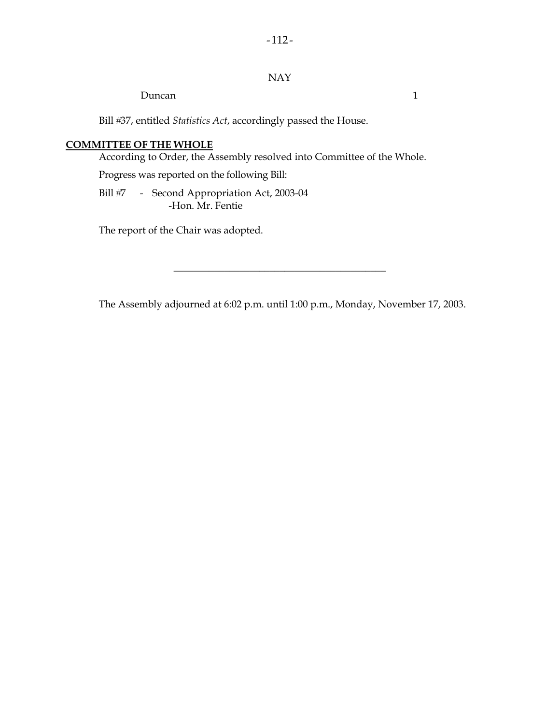## NAY

Duncan 1

Bill #37, entitled *Statistics Act*, accordingly passed the House.

#### **COMMITTEE OF THE WHOLE**

According to Order, the Assembly resolved into Committee of the Whole.

Progress was reported on the following Bill:

Bill #7 - Second Appropriation Act, 2003-04 -Hon. Mr. Fentie

The report of the Chair was adopted.

The Assembly adjourned at 6:02 p.m. until 1:00 p.m., Monday, November 17, 2003.

\_\_\_\_\_\_\_\_\_\_\_\_\_\_\_\_\_\_\_\_\_\_\_\_\_\_\_\_\_\_\_\_\_\_\_\_\_\_\_\_\_\_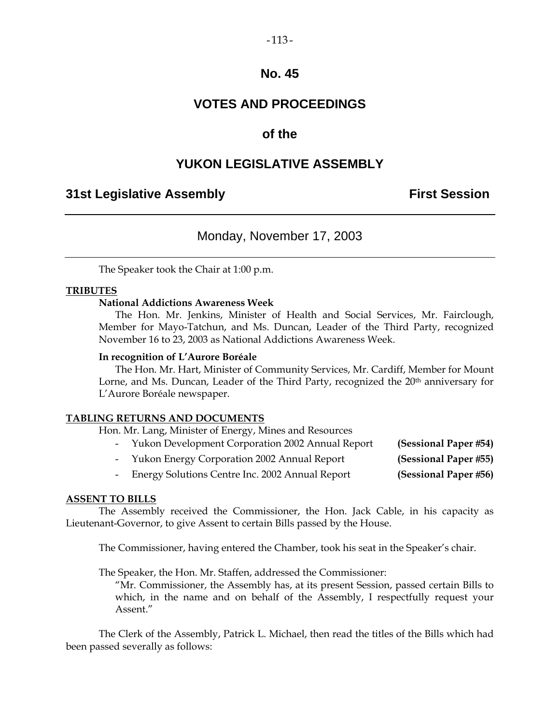## **VOTES AND PROCEEDINGS**

## **of the**

## **YUKON LEGISLATIVE ASSEMBLY**

## **31st Legislative Assembly First Session**

## Monday, November 17, 2003

The Speaker took the Chair at 1:00 p.m.

#### **TRIBUTES**

#### **National Addictions Awareness Week**

 The Hon. Mr. Jenkins, Minister of Health and Social Services, Mr. Fairclough, Member for Mayo-Tatchun, and Ms. Duncan, Leader of the Third Party, recognized November 16 to 23, 2003 as National Addictions Awareness Week.

#### **In recognition of L'Aurore Boréale**

 The Hon. Mr. Hart, Minister of Community Services, Mr. Cardiff, Member for Mount Lorne, and Ms. Duncan, Leader of the Third Party, recognized the 20<sup>th</sup> anniversary for L'Aurore Boréale newspaper.

#### **TABLING RETURNS AND DOCUMENTS**

Hon. Mr. Lang, Minister of Energy, Mines and Resources

| - Yukon Development Corporation 2002 Annual Report | (Sessional Paper #54) |
|----------------------------------------------------|-----------------------|
| - Yukon Energy Corporation 2002 Annual Report      | (Sessional Paper #55) |
| - Energy Solutions Centre Inc. 2002 Annual Report  | (Sessional Paper #56) |

## **ASSENT TO BILLS**

 The Assembly received the Commissioner, the Hon. Jack Cable, in his capacity as Lieutenant-Governor, to give Assent to certain Bills passed by the House.

The Commissioner, having entered the Chamber, took his seat in the Speaker's chair.

The Speaker, the Hon. Mr. Staffen, addressed the Commissioner:

 "Mr. Commissioner, the Assembly has, at its present Session, passed certain Bills to which, in the name and on behalf of the Assembly, I respectfully request your Assent."

 The Clerk of the Assembly, Patrick L. Michael, then read the titles of the Bills which had been passed severally as follows: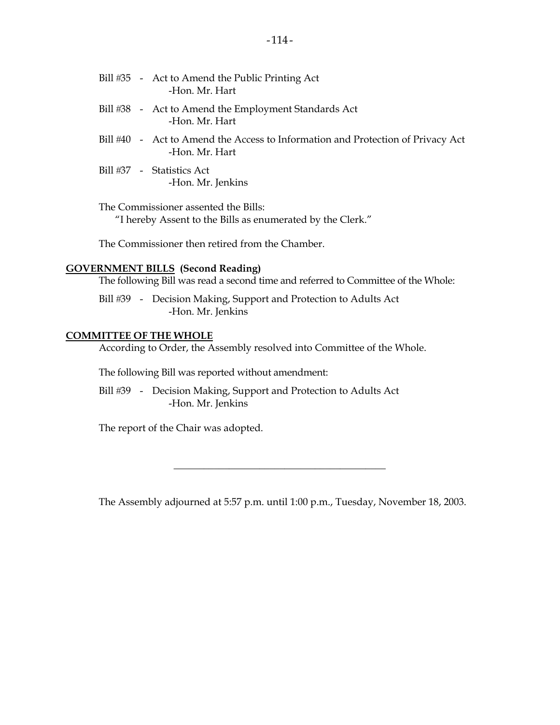|  | Bill #35 - Act to Amend the Public Printing Act<br>-Hon, Mr. Hart                                 |
|--|---------------------------------------------------------------------------------------------------|
|  | Bill #38 - Act to Amend the Employment Standards Act<br>-Hon, Mr. Hart                            |
|  | Bill #40 - Act to Amend the Access to Information and Protection of Privacy Act<br>-Hon. Mr. Hart |
|  | Bill #37 - Statistics Act<br>-Hon. Mr. Jenkins                                                    |

 The Commissioner assented the Bills: "I hereby Assent to the Bills as enumerated by the Clerk."

The Commissioner then retired from the Chamber.

#### **GOVERNMENT BILLS (Second Reading)**

The following Bill was read a second time and referred to Committee of the Whole:

Bill #39 - Decision Making, Support and Protection to Adults Act -Hon. Mr. Jenkins

#### **COMMITTEE OF THE WHOLE**

According to Order, the Assembly resolved into Committee of the Whole.

The following Bill was reported without amendment:

Bill #39 - Decision Making, Support and Protection to Adults Act -Hon. Mr. Jenkins

The report of the Chair was adopted.

The Assembly adjourned at 5:57 p.m. until 1:00 p.m., Tuesday, November 18, 2003.

\_\_\_\_\_\_\_\_\_\_\_\_\_\_\_\_\_\_\_\_\_\_\_\_\_\_\_\_\_\_\_\_\_\_\_\_\_\_\_\_\_\_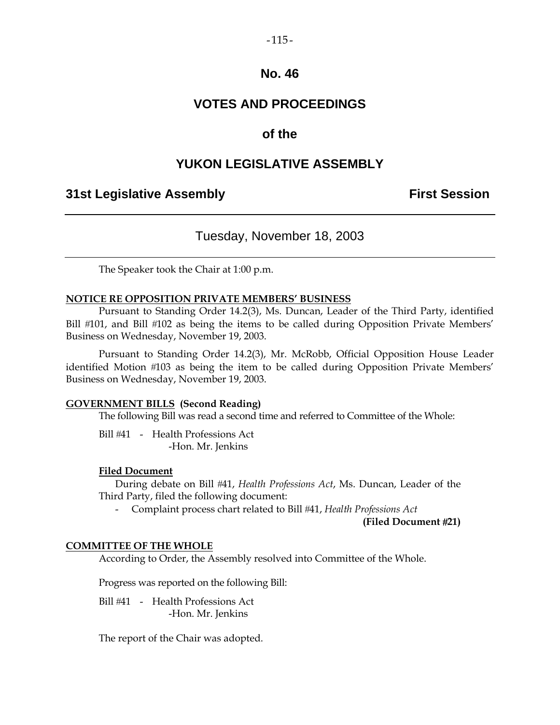## **VOTES AND PROCEEDINGS**

## **of the**

## **YUKON LEGISLATIVE ASSEMBLY**

## **31st Legislative Assembly First Session**

## Tuesday, November 18, 2003

The Speaker took the Chair at 1:00 p.m.

#### **NOTICE RE OPPOSITION PRIVATE MEMBERS' BUSINESS**

 Pursuant to Standing Order 14.2(3), Ms. Duncan, Leader of the Third Party, identified Bill #101, and Bill #102 as being the items to be called during Opposition Private Members' Business on Wednesday, November 19, 2003.

 Pursuant to Standing Order 14.2(3), Mr. McRobb, Official Opposition House Leader identified Motion #103 as being the item to be called during Opposition Private Members' Business on Wednesday, November 19, 2003.

#### **GOVERNMENT BILLS (Second Reading)**

The following Bill was read a second time and referred to Committee of the Whole:

Bill #41 - Health Professions Act -Hon. Mr. Jenkins

#### **Filed Document**

 During debate on Bill 41, *Health Professions Act*, Ms. Duncan, Leader of the Third Party, filed the following document:

- Complaint process chart related to Bill 41, *Health Professions Act*

**(Filed Document 21)** 

#### **COMMITTEE OF THE WHOLE**

According to Order, the Assembly resolved into Committee of the Whole.

Progress was reported on the following Bill:

 Bill 41 - Health Professions Act -Hon. Mr. Jenkins

The report of the Chair was adopted.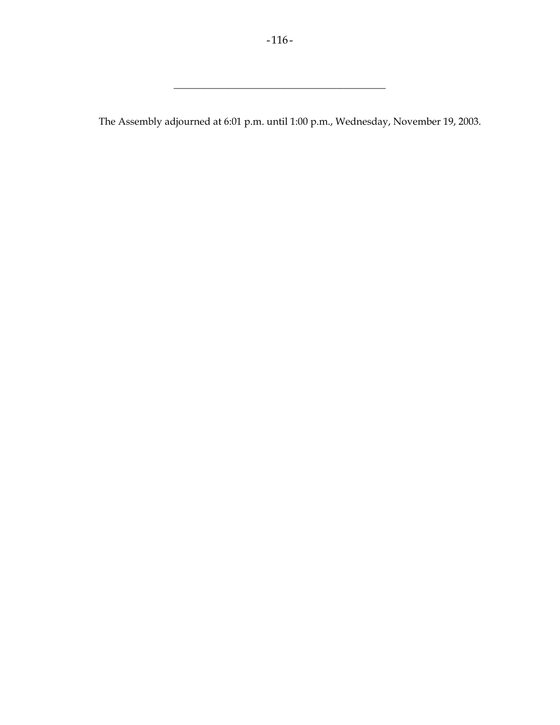\_\_\_\_\_\_\_\_\_\_\_\_\_\_\_\_\_\_\_\_\_\_\_\_\_\_\_\_\_\_\_\_\_\_\_\_\_\_\_\_\_\_

The Assembly adjourned at 6:01 p.m. until 1:00 p.m., Wednesday, November 19, 2003.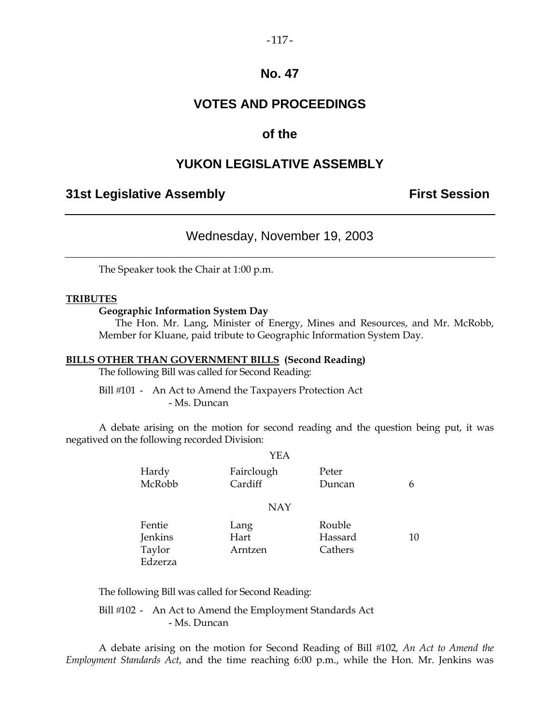#### $-117-$

## **No. 47**

## **VOTES AND PROCEEDINGS**

## **of the**

## **YUKON LEGISLATIVE ASSEMBLY**

## **31st Legislative Assembly The Contract Session**

## Wednesday, November 19, 2003

The Speaker took the Chair at 1:00 p.m.

#### **TRIBUTES**

#### **Geographic Information System Day**

 The Hon. Mr. Lang, Minister of Energy, Mines and Resources, and Mr. McRobb, Member for Kluane, paid tribute to Geographic Information System Day.

#### **BILLS OTHER THAN GOVERNMENT BILLS (Second Reading)**

The following Bill was called for Second Reading:

Bill #101 - An Act to Amend the Taxpayers Protection Act - Ms. Duncan

 A debate arising on the motion for second reading and the question being put, it was negatived on the following recorded Division:

|                 | YEA                   |                 |    |
|-----------------|-----------------------|-----------------|----|
| Hardy<br>McRobb | Fairclough<br>Cardiff | Peter<br>Duncan | 6  |
|                 | <b>NAY</b>            |                 |    |
| Fentie          | Lang                  | Rouble          |    |
| Jenkins         | Hart                  | Hassard         | 10 |
| Taylor          | Arntzen               | Cathers         |    |
| Edzerza         |                       |                 |    |

The following Bill was called for Second Reading:

Bill #102 - An Act to Amend the Employment Standards Act - Ms. Duncan

 A debate arising on the motion for Second Reading of Bill 102*, An Act to Amend the Employment Standards Act*, and the time reaching 6:00 p.m., while the Hon. Mr. Jenkins was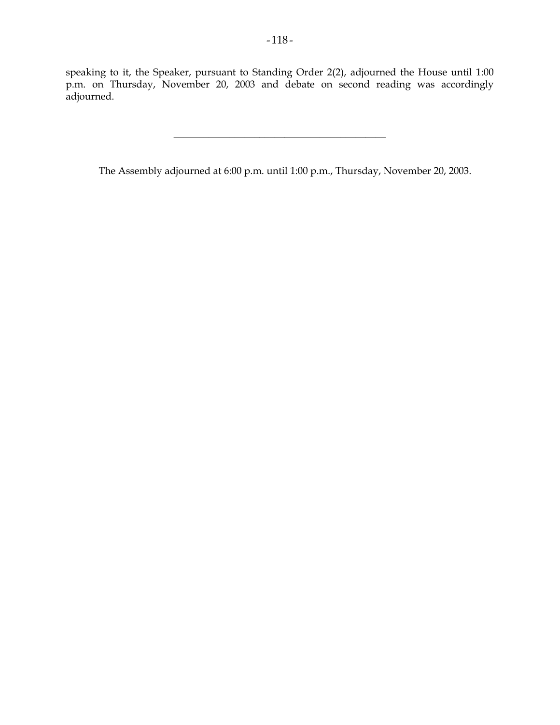speaking to it, the Speaker, pursuant to Standing Order 2(2), adjourned the House until 1:00 p.m. on Thursday, November 20, 2003 and debate on second reading was accordingly adjourned.

\_\_\_\_\_\_\_\_\_\_\_\_\_\_\_\_\_\_\_\_\_\_\_\_\_\_\_\_\_\_\_\_\_\_\_\_\_\_\_\_\_\_

The Assembly adjourned at 6:00 p.m. until 1:00 p.m., Thursday, November 20, 2003.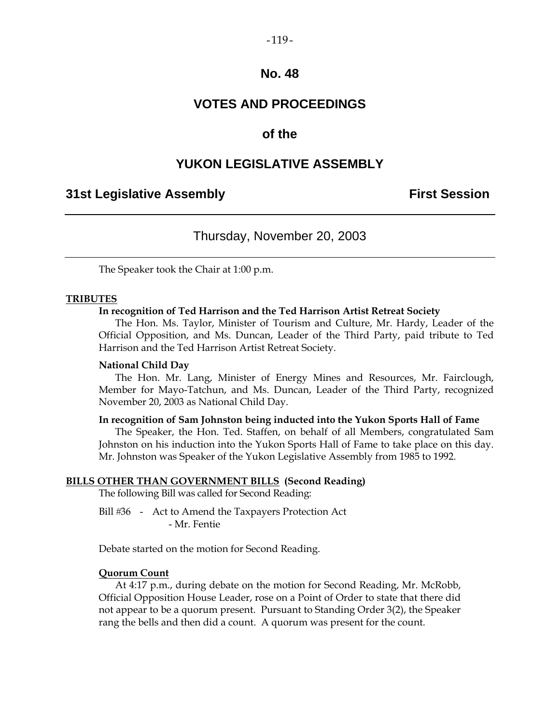## $-119-$

## **No. 48**

## **VOTES AND PROCEEDINGS**

## **of the**

## **YUKON LEGISLATIVE ASSEMBLY**

## **31st Legislative Assembly First Session**

## Thursday, November 20, 2003

The Speaker took the Chair at 1:00 p.m.

#### **TRIBUTES**

#### **In recognition of Ted Harrison and the Ted Harrison Artist Retreat Society**

 The Hon. Ms. Taylor, Minister of Tourism and Culture, Mr. Hardy, Leader of the Official Opposition, and Ms. Duncan, Leader of the Third Party, paid tribute to Ted Harrison and the Ted Harrison Artist Retreat Society.

#### **National Child Day**

 The Hon. Mr. Lang, Minister of Energy Mines and Resources, Mr. Fairclough, Member for Mayo-Tatchun, and Ms. Duncan, Leader of the Third Party, recognized November 20, 2003 as National Child Day.

#### **In recognition of Sam Johnston being inducted into the Yukon Sports Hall of Fame**

 The Speaker, the Hon. Ted. Staffen, on behalf of all Members, congratulated Sam Johnston on his induction into the Yukon Sports Hall of Fame to take place on this day. Mr. Johnston was Speaker of the Yukon Legislative Assembly from 1985 to 1992.

#### **BILLS OTHER THAN GOVERNMENT BILLS (Second Reading)**

The following Bill was called for Second Reading:

Bill #36 - Act to Amend the Taxpayers Protection Act - Mr. Fentie

Debate started on the motion for Second Reading.

#### **Quorum Count**

 At 4:17 p.m., during debate on the motion for Second Reading, Mr. McRobb, Official Opposition House Leader, rose on a Point of Order to state that there did not appear to be a quorum present. Pursuant to Standing Order 3(2), the Speaker rang the bells and then did a count. A quorum was present for the count.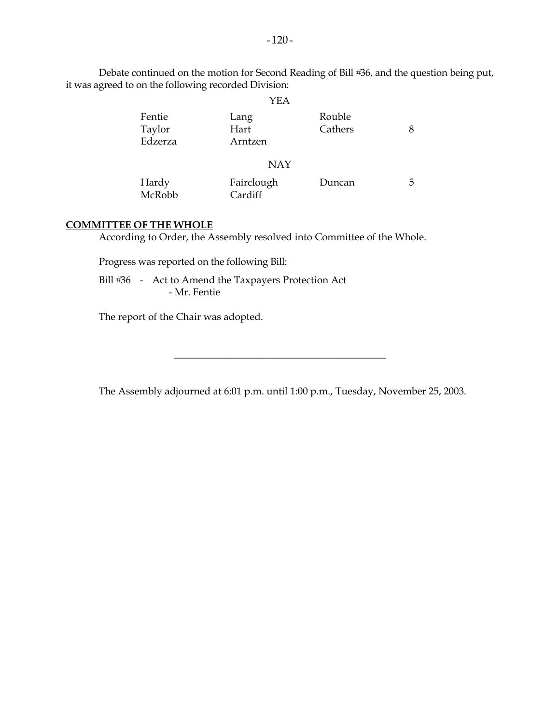|                                                      |      |        | Debate continued on the motion for Second Reading of Bill #36, and the question being put, |
|------------------------------------------------------|------|--------|--------------------------------------------------------------------------------------------|
| it was agreed to on the following recorded Division: |      |        |                                                                                            |
|                                                      | YEA  |        |                                                                                            |
| Fentie                                               | Lang | Rouble |                                                                                            |

| Fentie  | Lang       | Rouble  |   |
|---------|------------|---------|---|
| Taylor  | Hart       | Cathers | 8 |
| Edzerza | Arntzen    |         |   |
|         | <b>NAY</b> |         |   |
| Hardy   | Fairclough | Duncan  | 5 |
| McRobb  | Cardiff    |         |   |

#### **COMMITTEE OF THE WHOLE**

According to Order, the Assembly resolved into Committee of the Whole.

Progress was reported on the following Bill:

Bill #36 - Act to Amend the Taxpayers Protection Act - Mr. Fentie

The report of the Chair was adopted.

The Assembly adjourned at 6:01 p.m. until 1:00 p.m., Tuesday, November 25, 2003.

\_\_\_\_\_\_\_\_\_\_\_\_\_\_\_\_\_\_\_\_\_\_\_\_\_\_\_\_\_\_\_\_\_\_\_\_\_\_\_\_\_\_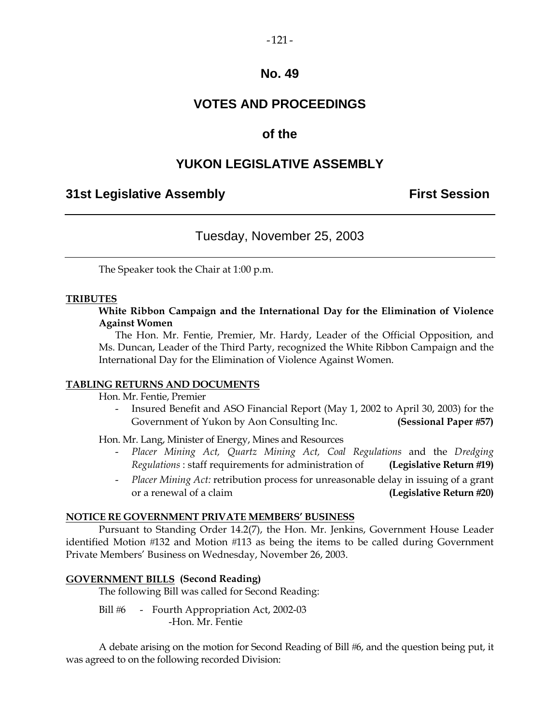## **VOTES AND PROCEEDINGS**

## **of the**

## **YUKON LEGISLATIVE ASSEMBLY**

## **31st Legislative Assembly First Session**

## Tuesday, November 25, 2003

The Speaker took the Chair at 1:00 p.m.

#### **TRIBUTES**

**White Ribbon Campaign and the International Day for the Elimination of Violence Against Women** 

 The Hon. Mr. Fentie, Premier, Mr. Hardy, Leader of the Official Opposition, and Ms. Duncan, Leader of the Third Party, recognized the White Ribbon Campaign and the International Day for the Elimination of Violence Against Women.

#### **TABLING RETURNS AND DOCUMENTS**

Hon. Mr. Fentie, Premier

 - Insured Benefit and ASO Financial Report (May 1, 2002 to April 30, 2003) for the Government of Yukon by Aon Consulting Inc. **(Sessional Paper 57)** 

Hon. Mr. Lang, Minister of Energy, Mines and Resources

- *Placer Mining Act, Quartz Mining Act, Coal Regulations* and the *Dredging Regulations* : staff requirements for administration of **(Legislative Return 19)**
- *Placer Mining Act:* retribution process for unreasonable delay in issuing of a grant or a renewal of a claim **(Legislative Return 20)**

## **NOTICE RE GOVERNMENT PRIVATE MEMBERS' BUSINESS**

 Pursuant to Standing Order 14.2(7), the Hon. Mr. Jenkins, Government House Leader identified Motion #132 and Motion #113 as being the items to be called during Government Private Members' Business on Wednesday, November 26, 2003.

## **GOVERNMENT BILLS (Second Reading)**

The following Bill was called for Second Reading:

Bill #6 - Fourth Appropriation Act, 2002-03 -Hon. Mr. Fentie

A debate arising on the motion for Second Reading of Bill #6, and the question being put, it was agreed to on the following recorded Division: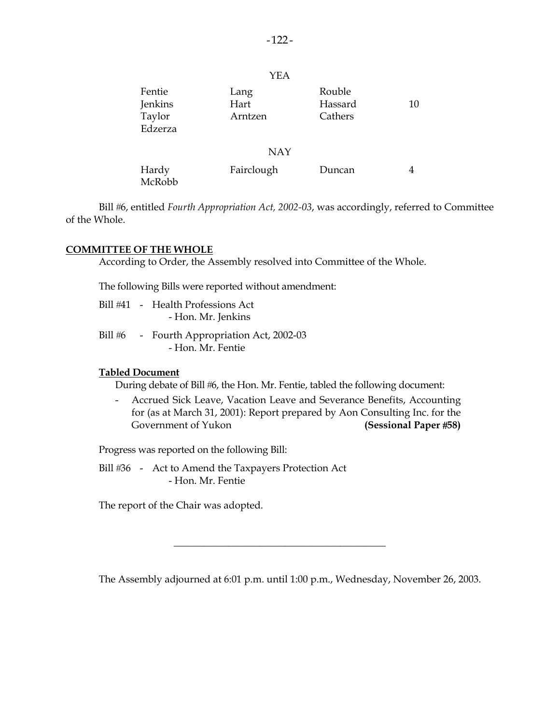| Fentie<br>Jenkins<br>Taylor<br>Edzerza | Lang<br>Hart<br>Arntzen | Rouble<br>Hassard<br>Cathers | 10 |
|----------------------------------------|-------------------------|------------------------------|----|
|                                        | <b>NAY</b>              |                              |    |
| Hardy<br>McRobb                        | Fairclough              | Duncan                       | 4  |

Bill #6, entitled *Fourth Appropriation Act, 2002-03*, was accordingly, referred to Committee of the Whole.

#### **COMMITTEE OF THE WHOLE**

According to Order, the Assembly resolved into Committee of the Whole.

The following Bills were reported without amendment:

- Bill 41 Health Professions Act - Hon. Mr. Jenkins
- Bill #6 Fourth Appropriation Act, 2002-03 - Hon. Mr. Fentie

#### **Tabled Document**

During debate of Bill #6, the Hon. Mr. Fentie, tabled the following document:

 - Accrued Sick Leave, Vacation Leave and Severance Benefits, Accounting for (as at March 31, 2001): Report prepared by Aon Consulting Inc. for the Government of Yukon **(Sessional Paper #58)** 

Progress was reported on the following Bill:

Bill #36 - Act to Amend the Taxpayers Protection Act - Hon. Mr. Fentie

The report of the Chair was adopted.

The Assembly adjourned at 6:01 p.m. until 1:00 p.m., Wednesday, November 26, 2003.

\_\_\_\_\_\_\_\_\_\_\_\_\_\_\_\_\_\_\_\_\_\_\_\_\_\_\_\_\_\_\_\_\_\_\_\_\_\_\_\_\_\_

YEA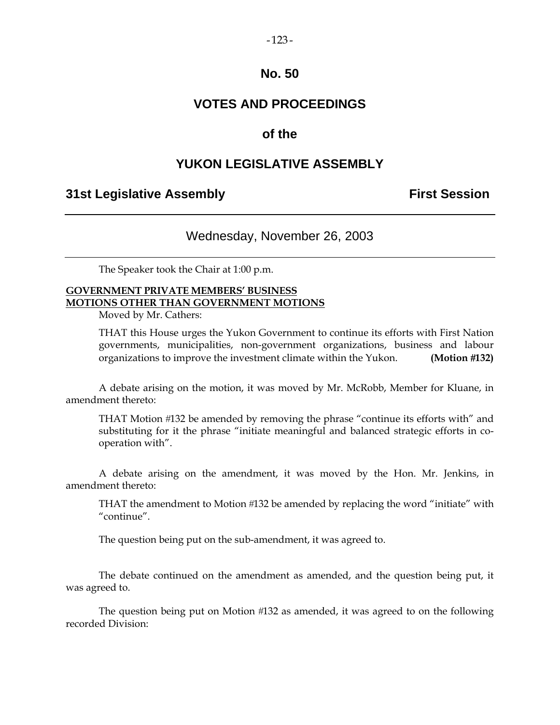## **VOTES AND PROCEEDINGS**

## **of the**

## **YUKON LEGISLATIVE ASSEMBLY**

## **31st Legislative Assembly First Session**

## Wednesday, November 26, 2003

The Speaker took the Chair at 1:00 p.m.

## **GOVERNMENT PRIVATE MEMBERS' BUSINESS MOTIONS OTHER THAN GOVERNMENT MOTIONS**

Moved by Mr. Cathers:

 THAT this House urges the Yukon Government to continue its efforts with First Nation governments, municipalities, non-government organizations, business and labour organizations to improve the investment climate within the Yukon. **(Motion 132)** 

 A debate arising on the motion, it was moved by Mr. McRobb, Member for Kluane, in amendment thereto:

THAT Motion #132 be amended by removing the phrase "continue its efforts with" and substituting for it the phrase "initiate meaningful and balanced strategic efforts in cooperation with".

 A debate arising on the amendment, it was moved by the Hon. Mr. Jenkins, in amendment thereto:

 THAT the amendment to Motion 132 be amended by replacing the word "initiate" with "continue".

The question being put on the sub-amendment, it was agreed to.

 The debate continued on the amendment as amended, and the question being put, it was agreed to.

 The question being put on Motion 132 as amended, it was agreed to on the following recorded Division: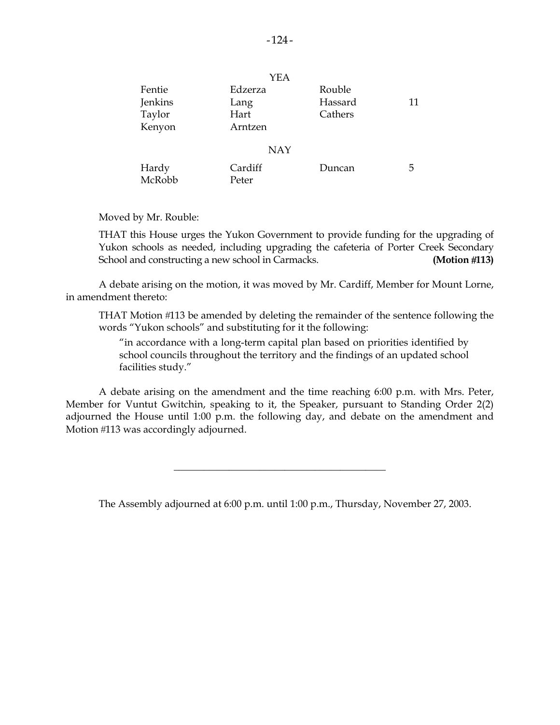|         | YEA        |         |    |
|---------|------------|---------|----|
| Fentie  | Edzerza    | Rouble  |    |
| Jenkins | Lang       | Hassard | 11 |
| Taylor  | Hart       | Cathers |    |
| Kenyon  | Arntzen    |         |    |
|         | <b>NAY</b> |         |    |
|         |            |         |    |
| Hardy   | Cardiff    | Duncan  | 5  |
| McRobb  | Peter      |         |    |

Moved by Mr. Rouble:

 THAT this House urges the Yukon Government to provide funding for the upgrading of Yukon schools as needed, including upgrading the cafeteria of Porter Creek Secondary School and constructing a new school in Carmacks. **(Motion 113)**

 A debate arising on the motion, it was moved by Mr. Cardiff, Member for Mount Lorne, in amendment thereto:

THAT Motion #113 be amended by deleting the remainder of the sentence following the words "Yukon schools" and substituting for it the following:

 "in accordance with a long-term capital plan based on priorities identified by school councils throughout the territory and the findings of an updated school facilities study."

 A debate arising on the amendment and the time reaching 6:00 p.m. with Mrs. Peter, Member for Vuntut Gwitchin, speaking to it, the Speaker, pursuant to Standing Order 2(2) adjourned the House until 1:00 p.m. the following day, and debate on the amendment and Motion #113 was accordingly adjourned.

The Assembly adjourned at 6:00 p.m. until 1:00 p.m., Thursday, November 27, 2003.

 $\frac{1}{2}$  ,  $\frac{1}{2}$  ,  $\frac{1}{2}$  ,  $\frac{1}{2}$  ,  $\frac{1}{2}$  ,  $\frac{1}{2}$  ,  $\frac{1}{2}$  ,  $\frac{1}{2}$  ,  $\frac{1}{2}$  ,  $\frac{1}{2}$  ,  $\frac{1}{2}$  ,  $\frac{1}{2}$  ,  $\frac{1}{2}$  ,  $\frac{1}{2}$  ,  $\frac{1}{2}$  ,  $\frac{1}{2}$  ,  $\frac{1}{2}$  ,  $\frac{1}{2}$  ,  $\frac{1$ 

 $\sqrt{2}$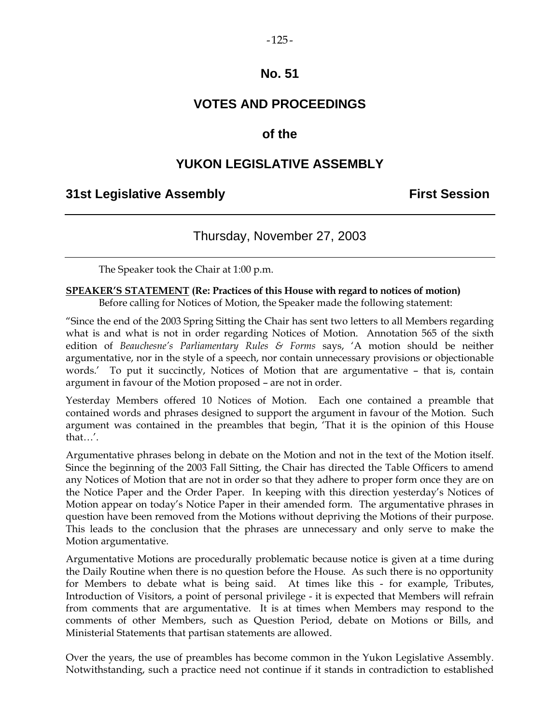## **VOTES AND PROCEEDINGS**

## **of the**

## **YUKON LEGISLATIVE ASSEMBLY**

## **31st Legislative Assembly First Session**

## Thursday, November 27, 2003

The Speaker took the Chair at 1:00 p.m.

#### **SPEAKER'S STATEMENT (Re: Practices of this House with regard to notices of motion)**  Before calling for Notices of Motion, the Speaker made the following statement:

"Since the end of the 2003 Spring Sitting the Chair has sent two letters to all Members regarding what is and what is not in order regarding Notices of Motion. Annotation 565 of the sixth edition of *Beauchesne's Parliamentary Rules & Forms* says, 'A motion should be neither argumentative, nor in the style of a speech, nor contain unnecessary provisions or objectionable words.' To put it succinctly, Notices of Motion that are argumentative – that is, contain argument in favour of the Motion proposed – are not in order.

Yesterday Members offered 10 Notices of Motion. Each one contained a preamble that contained words and phrases designed to support the argument in favour of the Motion. Such argument was contained in the preambles that begin, 'That it is the opinion of this House that…'.

Argumentative phrases belong in debate on the Motion and not in the text of the Motion itself. Since the beginning of the 2003 Fall Sitting, the Chair has directed the Table Officers to amend any Notices of Motion that are not in order so that they adhere to proper form once they are on the Notice Paper and the Order Paper. In keeping with this direction yesterday's Notices of Motion appear on today's Notice Paper in their amended form. The argumentative phrases in question have been removed from the Motions without depriving the Motions of their purpose. This leads to the conclusion that the phrases are unnecessary and only serve to make the Motion argumentative.

Argumentative Motions are procedurally problematic because notice is given at a time during the Daily Routine when there is no question before the House. As such there is no opportunity for Members to debate what is being said. At times like this - for example, Tributes, Introduction of Visitors, a point of personal privilege - it is expected that Members will refrain from comments that are argumentative. It is at times when Members may respond to the comments of other Members, such as Question Period, debate on Motions or Bills, and Ministerial Statements that partisan statements are allowed.

Over the years, the use of preambles has become common in the Yukon Legislative Assembly. Notwithstanding, such a practice need not continue if it stands in contradiction to established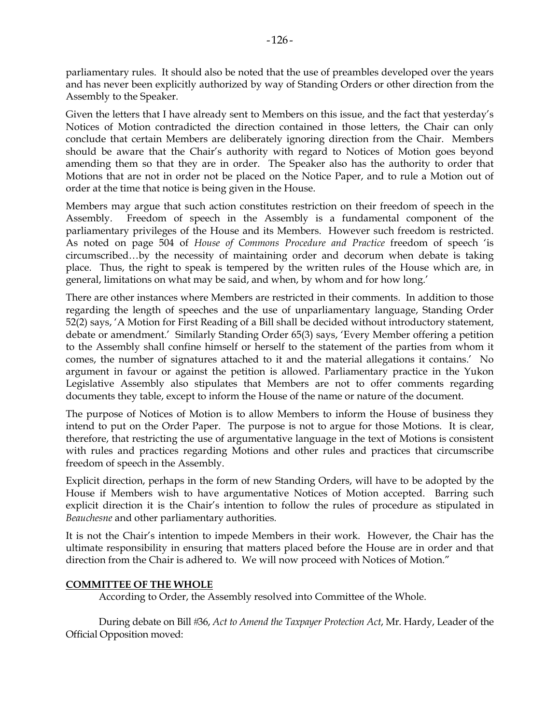parliamentary rules. It should also be noted that the use of preambles developed over the years and has never been explicitly authorized by way of Standing Orders or other direction from the Assembly to the Speaker.

Given the letters that I have already sent to Members on this issue, and the fact that yesterday's Notices of Motion contradicted the direction contained in those letters, the Chair can only conclude that certain Members are deliberately ignoring direction from the Chair. Members should be aware that the Chair's authority with regard to Notices of Motion goes beyond amending them so that they are in order. The Speaker also has the authority to order that Motions that are not in order not be placed on the Notice Paper, and to rule a Motion out of order at the time that notice is being given in the House.

Members may argue that such action constitutes restriction on their freedom of speech in the Assembly. Freedom of speech in the Assembly is a fundamental component of the parliamentary privileges of the House and its Members. However such freedom is restricted. As noted on page 504 of *House of Commons Procedure and Practice* freedom of speech 'is circumscribed…by the necessity of maintaining order and decorum when debate is taking place. Thus, the right to speak is tempered by the written rules of the House which are, in general, limitations on what may be said, and when, by whom and for how long.'

There are other instances where Members are restricted in their comments. In addition to those regarding the length of speeches and the use of unparliamentary language, Standing Order 52(2) says, 'A Motion for First Reading of a Bill shall be decided without introductory statement, debate or amendment.' Similarly Standing Order 65(3) says, 'Every Member offering a petition to the Assembly shall confine himself or herself to the statement of the parties from whom it comes, the number of signatures attached to it and the material allegations it contains.' No argument in favour or against the petition is allowed. Parliamentary practice in the Yukon Legislative Assembly also stipulates that Members are not to offer comments regarding documents they table, except to inform the House of the name or nature of the document.

The purpose of Notices of Motion is to allow Members to inform the House of business they intend to put on the Order Paper. The purpose is not to argue for those Motions. It is clear, therefore, that restricting the use of argumentative language in the text of Motions is consistent with rules and practices regarding Motions and other rules and practices that circumscribe freedom of speech in the Assembly.

Explicit direction, perhaps in the form of new Standing Orders, will have to be adopted by the House if Members wish to have argumentative Notices of Motion accepted. Barring such explicit direction it is the Chair's intention to follow the rules of procedure as stipulated in *Beauchesne* and other parliamentary authorities*.*

It is not the Chair's intention to impede Members in their work. However, the Chair has the ultimate responsibility in ensuring that matters placed before the House are in order and that direction from the Chair is adhered to. We will now proceed with Notices of Motion."

## **COMMITTEE OF THE WHOLE**

According to Order, the Assembly resolved into Committee of the Whole.

 During debate on Bill 36, *Act to Amend the Taxpayer Protection Act*, Mr. Hardy, Leader of the Official Opposition moved: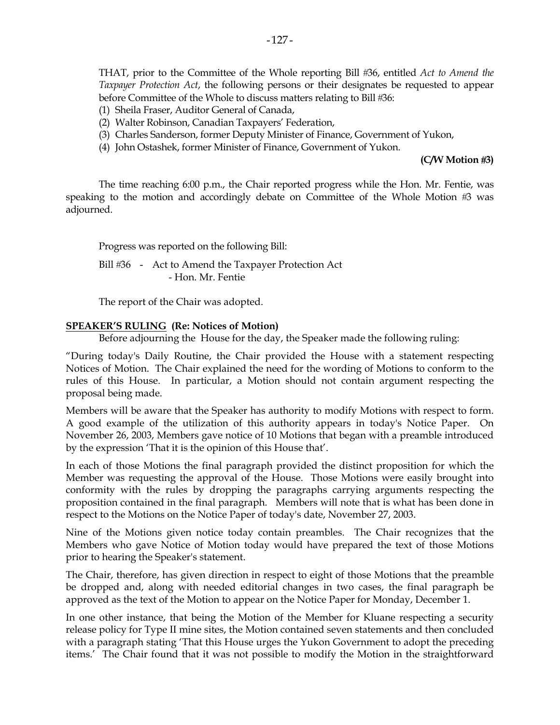THAT, prior to the Committee of the Whole reporting Bill 36, entitled *Act to Amend the Taxpayer Protection Act*, the following persons or their designates be requested to appear before Committee of the Whole to discuss matters relating to Bill #36:

- (1) Sheila Fraser, Auditor General of Canada,
- (2) Walter Robinson, Canadian Taxpayers' Federation,
- (3) Charles Sanderson, former Deputy Minister of Finance, Government of Yukon,
- (4) John Ostashek, former Minister of Finance, Government of Yukon.

#### **(C/W Motion 3)**

The time reaching 6:00 p.m., the Chair reported progress while the Hon. Mr. Fentie, was speaking to the motion and accordingly debate on Committee of the Whole Motion  $#3$  was adjourned.

Progress was reported on the following Bill:

Bill #36 - Act to Amend the Taxpayer Protection Act - Hon. Mr. Fentie

The report of the Chair was adopted.

#### **SPEAKER'S RULING (Re: Notices of Motion)**

Before adjourning the House for the day, the Speaker made the following ruling:

"During today's Daily Routine, the Chair provided the House with a statement respecting Notices of Motion. The Chair explained the need for the wording of Motions to conform to the rules of this House. In particular, a Motion should not contain argument respecting the proposal being made.

Members will be aware that the Speaker has authority to modify Motions with respect to form. A good example of the utilization of this authority appears in today's Notice Paper. On November 26, 2003, Members gave notice of 10 Motions that began with a preamble introduced by the expression 'That it is the opinion of this House that'.

In each of those Motions the final paragraph provided the distinct proposition for which the Member was requesting the approval of the House. Those Motions were easily brought into conformity with the rules by dropping the paragraphs carrying arguments respecting the proposition contained in the final paragraph. Members will note that is what has been done in respect to the Motions on the Notice Paper of today's date, November 27, 2003.

Nine of the Motions given notice today contain preambles. The Chair recognizes that the Members who gave Notice of Motion today would have prepared the text of those Motions prior to hearing the Speaker's statement.

The Chair, therefore, has given direction in respect to eight of those Motions that the preamble be dropped and, along with needed editorial changes in two cases, the final paragraph be approved as the text of the Motion to appear on the Notice Paper for Monday, December 1.

In one other instance, that being the Motion of the Member for Kluane respecting a security release policy for Type II mine sites, the Motion contained seven statements and then concluded with a paragraph stating 'That this House urges the Yukon Government to adopt the preceding items.' The Chair found that it was not possible to modify the Motion in the straightforward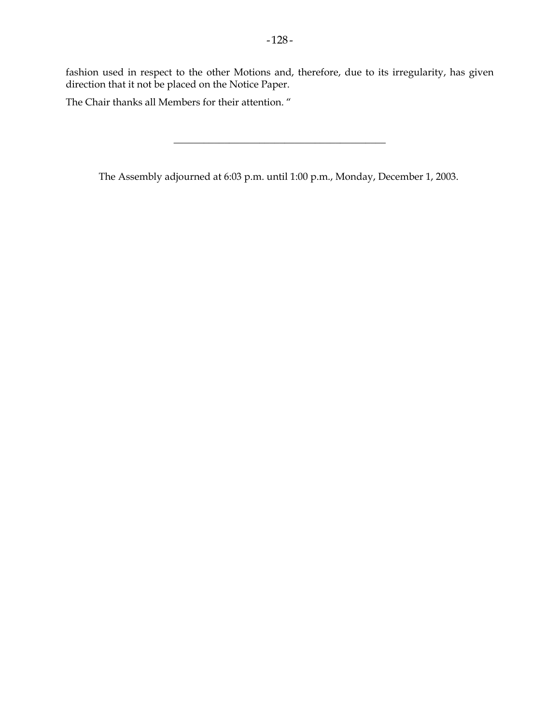fashion used in respect to the other Motions and, therefore, due to its irregularity, has given direction that it not be placed on the Notice Paper.

The Chair thanks all Members for their attention. "

The Assembly adjourned at 6:03 p.m. until 1:00 p.m., Monday, December 1, 2003.

\_\_\_\_\_\_\_\_\_\_\_\_\_\_\_\_\_\_\_\_\_\_\_\_\_\_\_\_\_\_\_\_\_\_\_\_\_\_\_\_\_\_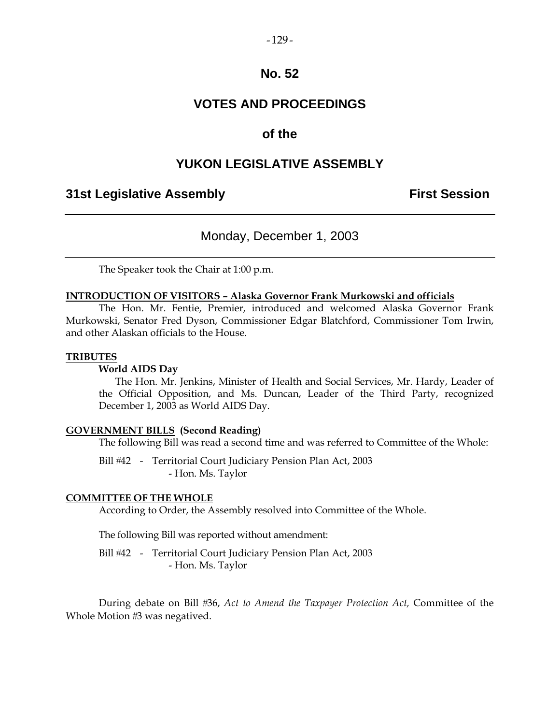#### $-129-$

## **No. 52**

## **VOTES AND PROCEEDINGS**

## **of the**

## **YUKON LEGISLATIVE ASSEMBLY**

## **31st Legislative Assembly First Session**

## Monday, December 1, 2003

The Speaker took the Chair at 1:00 p.m.

#### **INTRODUCTION OF VISITORS – Alaska Governor Frank Murkowski and officials**

 The Hon. Mr. Fentie, Premier, introduced and welcomed Alaska Governor Frank Murkowski, Senator Fred Dyson, Commissioner Edgar Blatchford, Commissioner Tom Irwin, and other Alaskan officials to the House.

#### **TRIBUTES**

#### **World AIDS Day**

 The Hon. Mr. Jenkins, Minister of Health and Social Services, Mr. Hardy, Leader of the Official Opposition, and Ms. Duncan, Leader of the Third Party, recognized December 1, 2003 as World AIDS Day.

#### **GOVERNMENT BILLS (Second Reading)**

The following Bill was read a second time and was referred to Committee of the Whole:

Bill #42 - Territorial Court Judiciary Pension Plan Act, 2003 - Hon. Ms. Taylor

#### **COMMITTEE OF THE WHOLE**

According to Order, the Assembly resolved into Committee of the Whole.

The following Bill was reported without amendment:

Bill #42 - Territorial Court Judiciary Pension Plan Act, 2003 - Hon. Ms. Taylor

 During debate on Bill 36, *Act to Amend the Taxpayer Protection Act,* Committee of the Whole Motion #3 was negatived.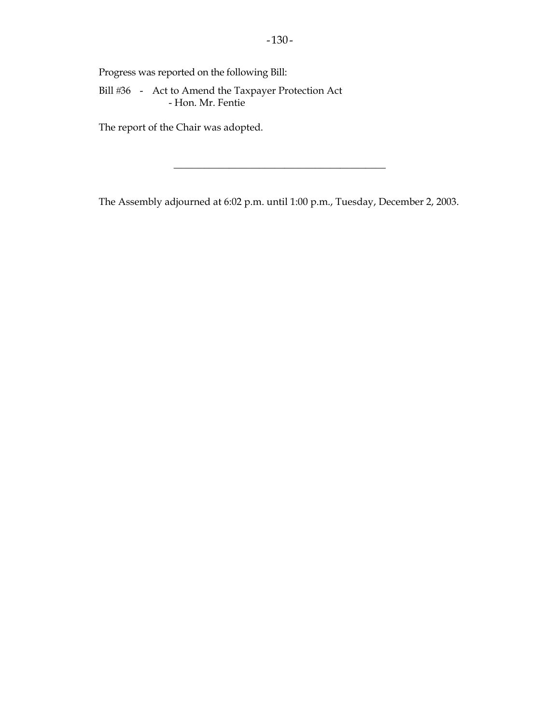Progress was reported on the following Bill:

Bill #36 - Act to Amend the Taxpayer Protection Act - Hon. Mr. Fentie

The report of the Chair was adopted.

The Assembly adjourned at 6:02 p.m. until 1:00 p.m., Tuesday, December 2, 2003.

\_\_\_\_\_\_\_\_\_\_\_\_\_\_\_\_\_\_\_\_\_\_\_\_\_\_\_\_\_\_\_\_\_\_\_\_\_\_\_\_\_\_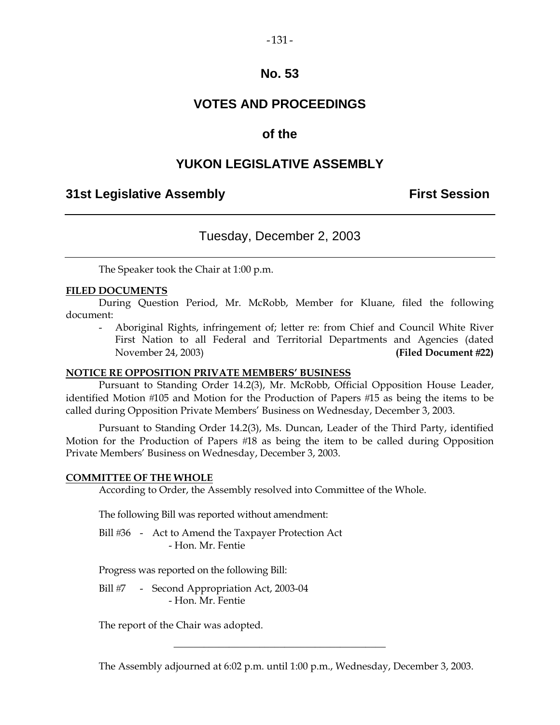# **VOTES AND PROCEEDINGS**

## **of the**

# **YUKON LEGISLATIVE ASSEMBLY**

## **31st Legislative Assembly First Session**

# Tuesday, December 2, 2003

The Speaker took the Chair at 1:00 p.m.

#### **FILED DOCUMENTS**

 During Question Period, Mr. McRobb, Member for Kluane, filed the following document:

 - Aboriginal Rights, infringement of; letter re: from Chief and Council White River First Nation to all Federal and Territorial Departments and Agencies (dated November 24, 2003) **(Filed Document 22)** 

#### **NOTICE RE OPPOSITION PRIVATE MEMBERS' BUSINESS**

 Pursuant to Standing Order 14.2(3), Mr. McRobb, Official Opposition House Leader, identified Motion #105 and Motion for the Production of Papers #15 as being the items to be called during Opposition Private Members' Business on Wednesday, December 3, 2003.

 Pursuant to Standing Order 14.2(3), Ms. Duncan, Leader of the Third Party, identified Motion for the Production of Papers #18 as being the item to be called during Opposition Private Members' Business on Wednesday, December 3, 2003.

#### **COMMITTEE OF THE WHOLE**

According to Order, the Assembly resolved into Committee of the Whole.

The following Bill was reported without amendment:

Bill #36 - Act to Amend the Taxpayer Protection Act - Hon. Mr. Fentie

Progress was reported on the following Bill:

Bill #7 - Second Appropriation Act, 2003-04 - Hon. Mr. Fentie

The report of the Chair was adopted.

The Assembly adjourned at 6:02 p.m. until 1:00 p.m., Wednesday, December 3, 2003.

\_\_\_\_\_\_\_\_\_\_\_\_\_\_\_\_\_\_\_\_\_\_\_\_\_\_\_\_\_\_\_\_\_\_\_\_\_\_\_\_\_\_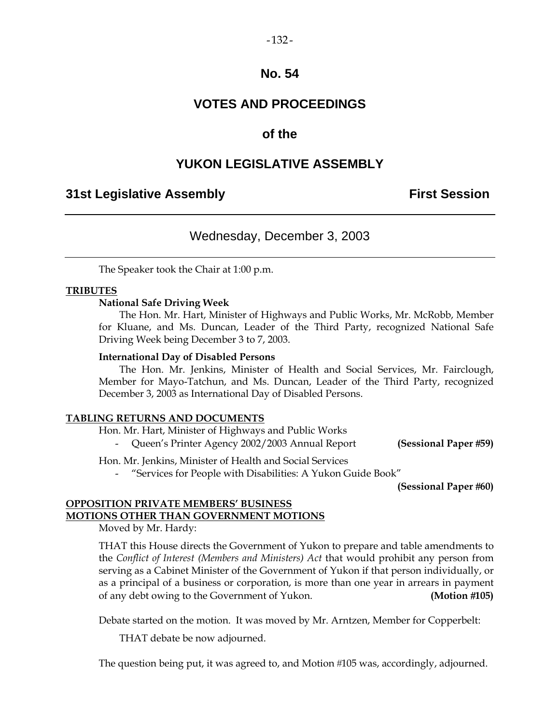$-132-$ 

# **VOTES AND PROCEEDINGS**

## **of the**

## **YUKON LEGISLATIVE ASSEMBLY**

## **31st Legislative Assembly The Contract Session**

## Wednesday, December 3, 2003

The Speaker took the Chair at 1:00 p.m.

#### **TRIBUTES**

#### **National Safe Driving Week**

 The Hon. Mr. Hart, Minister of Highways and Public Works, Mr. McRobb, Member for Kluane, and Ms. Duncan, Leader of the Third Party, recognized National Safe Driving Week being December 3 to 7, 2003.

#### **International Day of Disabled Persons**

 The Hon. Mr. Jenkins, Minister of Health and Social Services, Mr. Fairclough, Member for Mayo-Tatchun, and Ms. Duncan, Leader of the Third Party, recognized December 3, 2003 as International Day of Disabled Persons.

#### **TABLING RETURNS AND DOCUMENTS**

Hon. Mr. Hart, Minister of Highways and Public Works

- Queen's Printer Agency 2002/2003 Annual Report **(Sessional Paper 59)** 

Hon. Mr. Jenkins, Minister of Health and Social Services

- "Services for People with Disabilities: A Yukon Guide Book"

**(Sessional Paper #60)** 

#### **OPPOSITION PRIVATE MEMBERS' BUSINESS MOTIONS OTHER THAN GOVERNMENT MOTIONS**

Moved by Mr. Hardy:

THAT this House directs the Government of Yukon to prepare and table amendments to the *Conflict of Interest (Members and Ministers) Act* that would prohibit any person from serving as a Cabinet Minister of the Government of Yukon if that person individually, or as a principal of a business or corporation, is more than one year in arrears in payment of any debt owing to the Government of Yukon. **(Motion 105)** 

Debate started on the motion. It was moved by Mr. Arntzen, Member for Copperbelt:

THAT debate be now adjourned.

The question being put, it was agreed to, and Motion #105 was, accordingly, adjourned.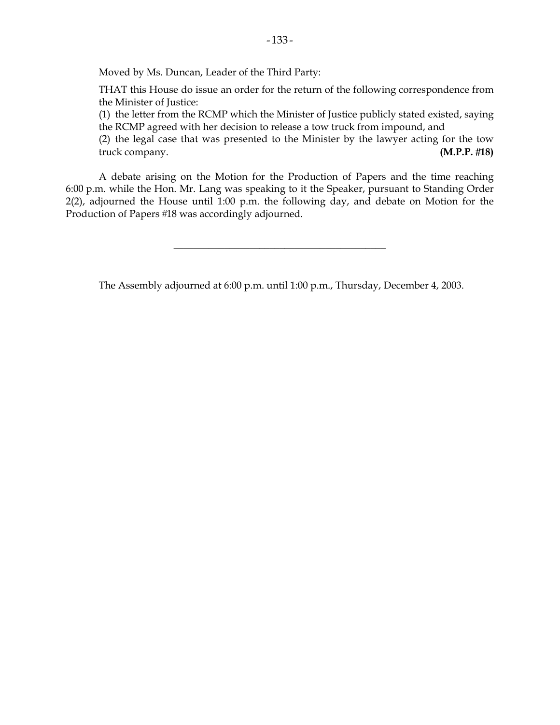Moved by Ms. Duncan, Leader of the Third Party:

 THAT this House do issue an order for the return of the following correspondence from the Minister of Justice:

 (1) the letter from the RCMP which the Minister of Justice publicly stated existed, saying the RCMP agreed with her decision to release a tow truck from impound, and

 (2) the legal case that was presented to the Minister by the lawyer acting for the tow truck company. **(M.P.P. 18)** 

 A debate arising on the Motion for the Production of Papers and the time reaching 6:00 p.m. while the Hon. Mr. Lang was speaking to it the Speaker, pursuant to Standing Order 2(2), adjourned the House until 1:00 p.m. the following day, and debate on Motion for the Production of Papers #18 was accordingly adjourned.

The Assembly adjourned at 6:00 p.m. until 1:00 p.m., Thursday, December 4, 2003.

\_\_\_\_\_\_\_\_\_\_\_\_\_\_\_\_\_\_\_\_\_\_\_\_\_\_\_\_\_\_\_\_\_\_\_\_\_\_\_\_\_\_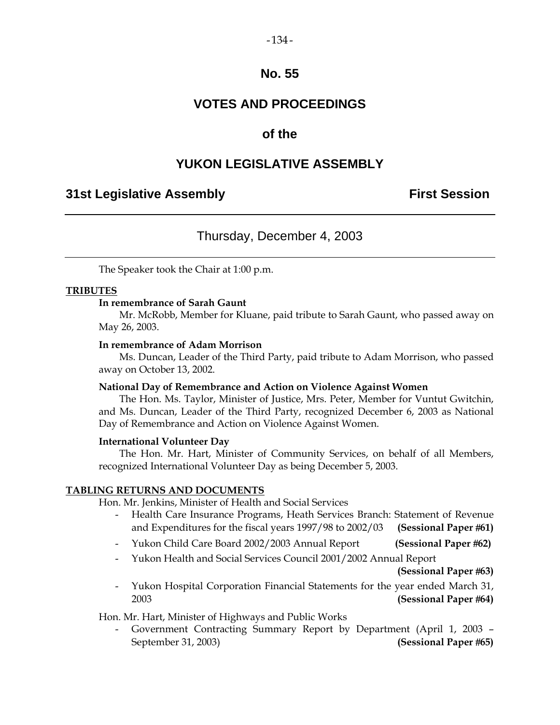# **VOTES AND PROCEEDINGS**

# **of the**

# **YUKON LEGISLATIVE ASSEMBLY**

## **31st Legislative Assembly First Session**

# Thursday, December 4, 2003

The Speaker took the Chair at 1:00 p.m.

#### **TRIBUTES**

#### **In remembrance of Sarah Gaunt**

 Mr. McRobb, Member for Kluane, paid tribute to Sarah Gaunt, who passed away on May 26, 2003.

#### **In remembrance of Adam Morrison**

 Ms. Duncan, Leader of the Third Party, paid tribute to Adam Morrison, who passed away on October 13, 2002.

#### **National Day of Remembrance and Action on Violence Against Women**

 The Hon. Ms. Taylor, Minister of Justice, Mrs. Peter, Member for Vuntut Gwitchin, and Ms. Duncan, Leader of the Third Party, recognized December 6, 2003 as National Day of Remembrance and Action on Violence Against Women.

#### **International Volunteer Day**

 The Hon. Mr. Hart, Minister of Community Services, on behalf of all Members, recognized International Volunteer Day as being December 5, 2003.

#### **TABLING RETURNS AND DOCUMENTS**

Hon. Mr. Jenkins, Minister of Health and Social Services

- Health Care Insurance Programs, Heath Services Branch: Statement of Revenue and Expenditures for the fiscal years 1997/98 to 2002/03 **(Sessional Paper 61)**
- Yukon Child Care Board 2002/2003 Annual Report **(Sessional Paper 62)**
- Yukon Health and Social Services Council 2001/2002 Annual Report

**(Sessional Paper 63)** 

 - Yukon Hospital Corporation Financial Statements for the year ended March 31, 2003 **(Sessional Paper 64)**

Hon. Mr. Hart, Minister of Highways and Public Works

 - Government Contracting Summary Report by Department (April 1, 2003 – September 31, 2003) **(Sessional Paper 65)** 

 $-134-$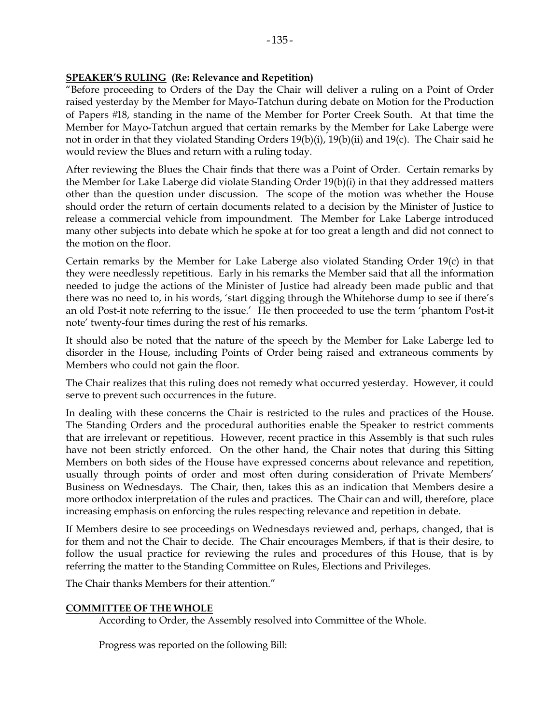#### **SPEAKER'S RULING (Re: Relevance and Repetition)**

"Before proceeding to Orders of the Day the Chair will deliver a ruling on a Point of Order raised yesterday by the Member for Mayo-Tatchun during debate on Motion for the Production of Papers 18, standing in the name of the Member for Porter Creek South. At that time the Member for Mayo-Tatchun argued that certain remarks by the Member for Lake Laberge were not in order in that they violated Standing Orders 19(b)(i), 19(b)(ii) and 19(c). The Chair said he would review the Blues and return with a ruling today.

After reviewing the Blues the Chair finds that there was a Point of Order. Certain remarks by the Member for Lake Laberge did violate Standing Order 19(b)(i) in that they addressed matters other than the question under discussion. The scope of the motion was whether the House should order the return of certain documents related to a decision by the Minister of Justice to release a commercial vehicle from impoundment. The Member for Lake Laberge introduced many other subjects into debate which he spoke at for too great a length and did not connect to the motion on the floor.

Certain remarks by the Member for Lake Laberge also violated Standing Order 19(c) in that they were needlessly repetitious. Early in his remarks the Member said that all the information needed to judge the actions of the Minister of Justice had already been made public and that there was no need to, in his words, 'start digging through the Whitehorse dump to see if there's an old Post-it note referring to the issue.' He then proceeded to use the term 'phantom Post-it note' twenty-four times during the rest of his remarks.

It should also be noted that the nature of the speech by the Member for Lake Laberge led to disorder in the House, including Points of Order being raised and extraneous comments by Members who could not gain the floor.

The Chair realizes that this ruling does not remedy what occurred yesterday. However, it could serve to prevent such occurrences in the future.

In dealing with these concerns the Chair is restricted to the rules and practices of the House. The Standing Orders and the procedural authorities enable the Speaker to restrict comments that are irrelevant or repetitious. However, recent practice in this Assembly is that such rules have not been strictly enforced. On the other hand, the Chair notes that during this Sitting Members on both sides of the House have expressed concerns about relevance and repetition, usually through points of order and most often during consideration of Private Members' Business on Wednesdays. The Chair, then, takes this as an indication that Members desire a more orthodox interpretation of the rules and practices. The Chair can and will, therefore, place increasing emphasis on enforcing the rules respecting relevance and repetition in debate.

If Members desire to see proceedings on Wednesdays reviewed and, perhaps, changed, that is for them and not the Chair to decide. The Chair encourages Members, if that is their desire, to follow the usual practice for reviewing the rules and procedures of this House, that is by referring the matter to the Standing Committee on Rules, Elections and Privileges.

The Chair thanks Members for their attention."

#### **COMMITTEE OF THE WHOLE**

According to Order, the Assembly resolved into Committee of the Whole.

Progress was reported on the following Bill: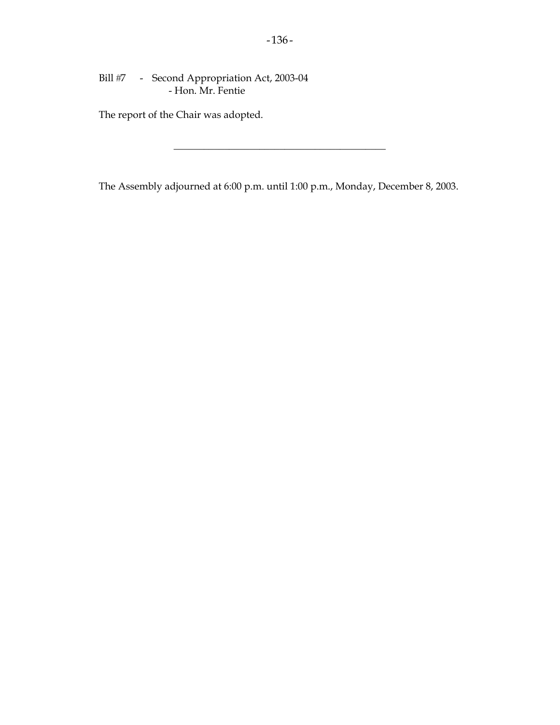Bill #7 - Second Appropriation Act, 2003-04 - Hon. Mr. Fentie

The report of the Chair was adopted.

The Assembly adjourned at 6:00 p.m. until 1:00 p.m., Monday, December 8, 2003.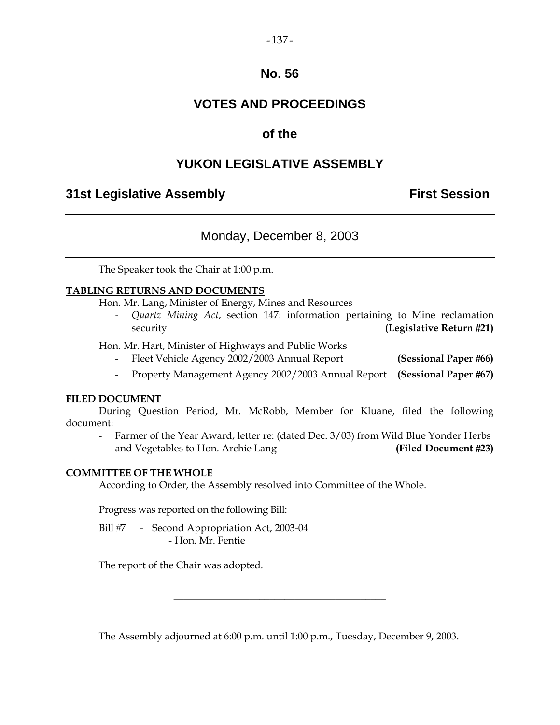$-137-$ 

# **VOTES AND PROCEEDINGS**

# **of the**

# **YUKON LEGISLATIVE ASSEMBLY**

# **31st Legislative Assembly First Session**

# Monday, December 8, 2003

The Speaker took the Chair at 1:00 p.m.

### **TABLING RETURNS AND DOCUMENTS**

Hon. Mr. Lang, Minister of Energy, Mines and Resources

 - *Quartz Mining Act*, section 147: information pertaining to Mine reclamation security **(Legislative Return 21)**

Hon. Mr. Hart, Minister of Highways and Public Works

- Fleet Vehicle Agency 2002/2003 Annual Report **(Sessional Paper 66)**
- Property Management Agency 2002/2003 Annual Report **(Sessional Paper 67)**

#### **FILED DOCUMENT**

 During Question Period, Mr. McRobb, Member for Kluane, filed the following document:

Farmer of the Year Award, letter re: (dated Dec. 3/03) from Wild Blue Yonder Herbs and Vegetables to Hon. Archie Lang **(Filed Document 23)** 

#### **COMMITTEE OF THE WHOLE**

According to Order, the Assembly resolved into Committee of the Whole.

Progress was reported on the following Bill:

Bill #7 - Second Appropriation Act, 2003-04 - Hon. Mr. Fentie

The report of the Chair was adopted.

The Assembly adjourned at 6:00 p.m. until 1:00 p.m., Tuesday, December 9, 2003.

\_\_\_\_\_\_\_\_\_\_\_\_\_\_\_\_\_\_\_\_\_\_\_\_\_\_\_\_\_\_\_\_\_\_\_\_\_\_\_\_\_\_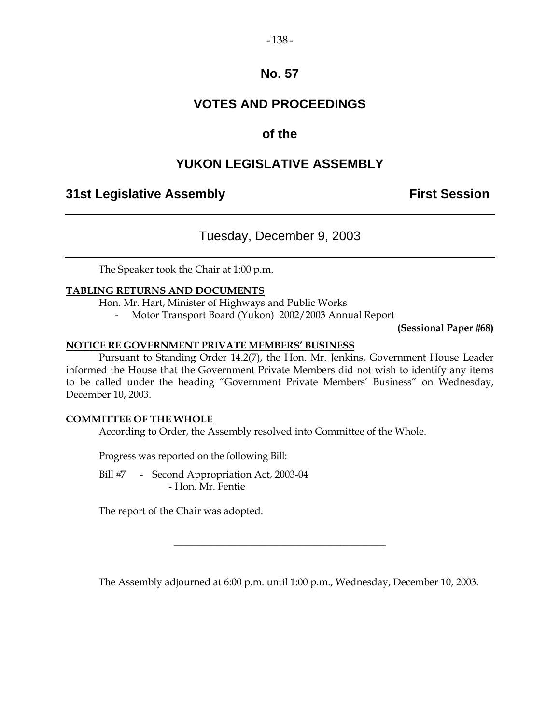# **VOTES AND PROCEEDINGS**

# **of the**

# **YUKON LEGISLATIVE ASSEMBLY**

# **31st Legislative Assembly First Session**

# Tuesday, December 9, 2003

The Speaker took the Chair at 1:00 p.m.

### **TABLING RETURNS AND DOCUMENTS**

Hon. Mr. Hart, Minister of Highways and Public Works

- Motor Transport Board (Yukon) 2002/2003 Annual Report

**(Sessional Paper 68)** 

#### **NOTICE RE GOVERNMENT PRIVATE MEMBERS' BUSINESS**

 Pursuant to Standing Order 14.2(7), the Hon. Mr. Jenkins, Government House Leader informed the House that the Government Private Members did not wish to identify any items to be called under the heading "Government Private Members' Business" on Wednesday, December 10, 2003.

#### **COMMITTEE OF THE WHOLE**

According to Order, the Assembly resolved into Committee of the Whole.

Progress was reported on the following Bill:

Bill #7 - Second Appropriation Act, 2003-04 - Hon. Mr. Fentie

The report of the Chair was adopted.

The Assembly adjourned at 6:00 p.m. until 1:00 p.m., Wednesday, December 10, 2003.

\_\_\_\_\_\_\_\_\_\_\_\_\_\_\_\_\_\_\_\_\_\_\_\_\_\_\_\_\_\_\_\_\_\_\_\_\_\_\_\_\_\_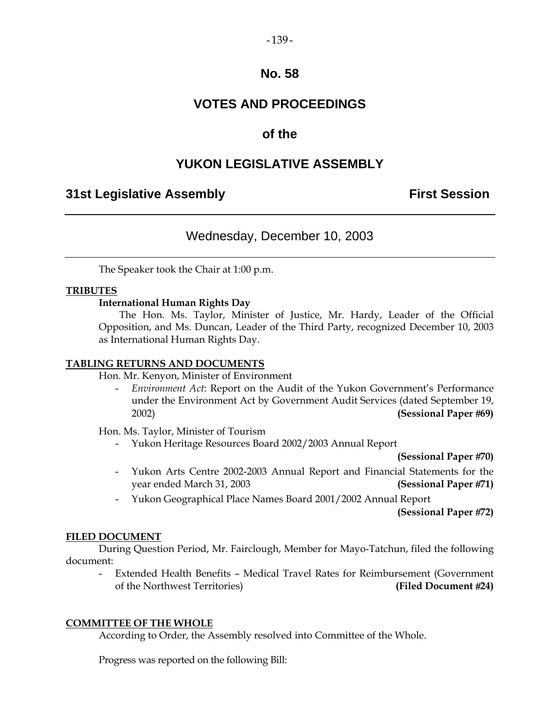#### $-139-$

## **No. 58**

# **VOTES AND PROCEEDINGS**

## **of the**

# **YUKON LEGISLATIVE ASSEMBLY**

## **31st Legislative Assembly The Contract Session**

## Wednesday, December 10, 2003

The Speaker took the Chair at 1:00 p.m.

#### **TRIBUTES**

#### **International Human Rights Day**

 The Hon. Ms. Taylor, Minister of Justice, Mr. Hardy, Leader of the Official Opposition, and Ms. Duncan, Leader of the Third Party, recognized December 10, 2003 as International Human Rights Day.

#### **TABLING RETURNS AND DOCUMENTS**

Hon. Mr. Kenyon, Minister of Environment

 - *Environment Act*: Report on the Audit of the Yukon Government's Performance under the Environment Act by Government Audit Services (dated September 19, 2002) **(Sessional Paper 69)** 

Hon. Ms. Taylor, Minister of Tourism

- Yukon Heritage Resources Board 2002/2003 Annual Report

**(Sessional Paper 70)**

- Yukon Arts Centre 2002-2003 Annual Report and Financial Statements for the year ended March 31, 2003 **(Sessional Paper 71)**
- Yukon Geographical Place Names Board 2001/2002 Annual Report

**(Sessional Paper 72)**

#### **FILED DOCUMENT**

 During Question Period, Mr. Fairclough, Member for Mayo-Tatchun, filed the following document:

 - Extended Health Benefits – Medical Travel Rates for Reimbursement (Government of the Northwest Territories) **(Filed Document 24)** 

#### **COMMITTEE OF THE WHOLE**

According to Order, the Assembly resolved into Committee of the Whole.

Progress was reported on the following Bill: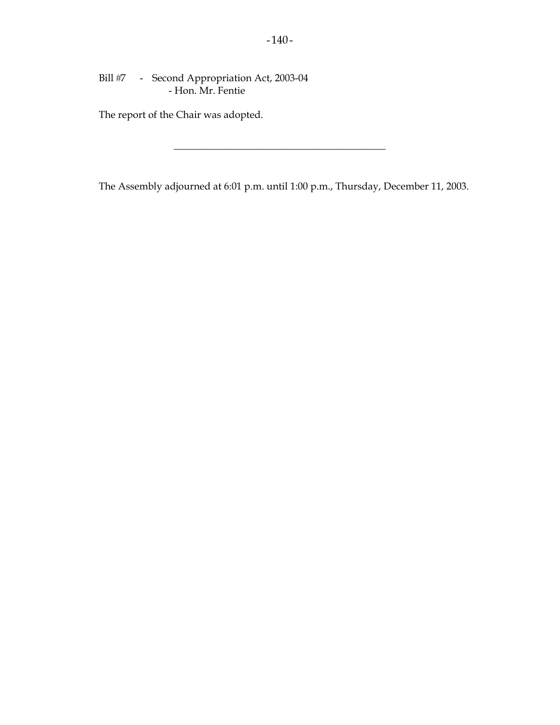Bill #7 - Second Appropriation Act, 2003-04 - Hon. Mr. Fentie

The report of the Chair was adopted.

The Assembly adjourned at 6:01 p.m. until 1:00 p.m., Thursday, December 11, 2003.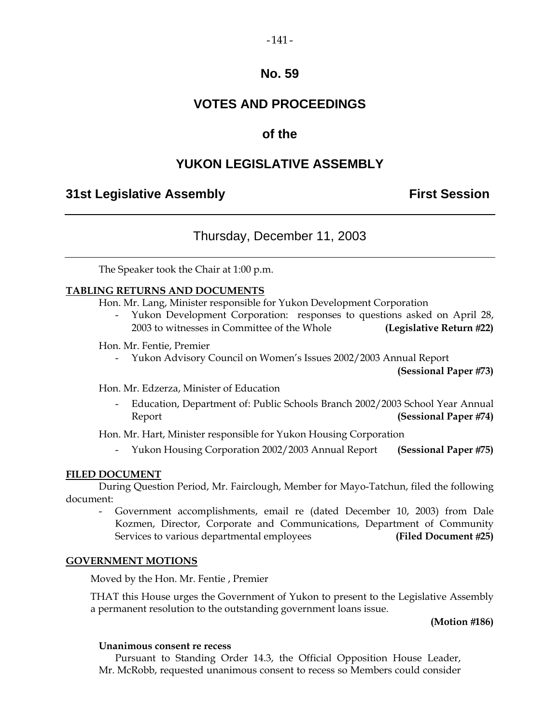# **VOTES AND PROCEEDINGS**

## **of the**

# **YUKON LEGISLATIVE ASSEMBLY**

## **31st Legislative Assembly First Session**

# Thursday, December 11, 2003

The Speaker took the Chair at 1:00 p.m.

#### **TABLING RETURNS AND DOCUMENTS**

Hon. Mr. Lang, Minister responsible for Yukon Development Corporation

 - Yukon Development Corporation: responses to questions asked on April 28, 2003 to witnesses in Committee of the Whole **(Legislative Return 22)** 

Hon. Mr. Fentie, Premier

- Yukon Advisory Council on Women's Issues 2002/2003 Annual Report

**(Sessional Paper 73)** 

Hon. Mr. Edzerza, Minister of Education

 - Education, Department of: Public Schools Branch 2002/2003 School Year Annual Report **(Sessional Paper 74)**

Hon. Mr. Hart, Minister responsible for Yukon Housing Corporation

- Yukon Housing Corporation 2002/2003 Annual Report **(Sessional Paper 75)** 

#### **FILED DOCUMENT**

 During Question Period, Mr. Fairclough, Member for Mayo-Tatchun, filed the following document:

 - Government accomplishments, email re (dated December 10, 2003) from Dale Kozmen, Director, Corporate and Communications, Department of Community Services to various departmental employees **(Filed Document 25)** 

#### **GOVERNMENT MOTIONS**

Moved by the Hon. Mr. Fentie , Premier

 THAT this House urges the Government of Yukon to present to the Legislative Assembly a permanent resolution to the outstanding government loans issue.

#### **(Motion 186)**

#### **Unanimous consent re recess**

 Pursuant to Standing Order 14.3, the Official Opposition House Leader, Mr. McRobb, requested unanimous consent to recess so Members could consider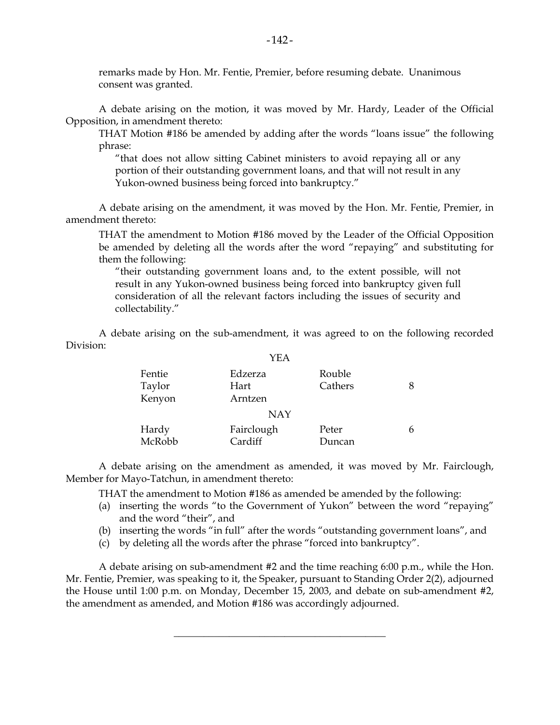remarks made by Hon. Mr. Fentie, Premier, before resuming debate. Unanimous consent was granted.

 A debate arising on the motion, it was moved by Mr. Hardy, Leader of the Official Opposition, in amendment thereto:

 THAT Motion #186 be amended by adding after the words "loans issue" the following phrase:

 "that does not allow sitting Cabinet ministers to avoid repaying all or any portion of their outstanding government loans, and that will not result in any Yukon-owned business being forced into bankruptcy."

 A debate arising on the amendment, it was moved by the Hon. Mr. Fentie, Premier, in amendment thereto:

 THAT the amendment to Motion #186 moved by the Leader of the Official Opposition be amended by deleting all the words after the word "repaying" and substituting for them the following:

 "their outstanding government loans and, to the extent possible, will not result in any Yukon-owned business being forced into bankruptcy given full consideration of all the relevant factors including the issues of security and collectability."

 A debate arising on the sub-amendment, it was agreed to on the following recorded Division:

|                            | YEA                        |                   |  |
|----------------------------|----------------------------|-------------------|--|
| Fentie<br>Taylor<br>Kenyon | Edzerza<br>Hart<br>Arntzen | Rouble<br>Cathers |  |
|                            | <b>NAY</b>                 |                   |  |
| Hardy<br>McRobb            | Fairclough<br>Cardiff      | Peter<br>Duncan   |  |

 A debate arising on the amendment as amended, it was moved by Mr. Fairclough, Member for Mayo-Tatchun, in amendment thereto:

THAT the amendment to Motion #186 as amended be amended by the following:

- (a) inserting the words "to the Government of Yukon" between the word "repaying" and the word "their", and
- (b) inserting the words "in full" after the words "outstanding government loans", and
- (c) by deleting all the words after the phrase "forced into bankruptcy".

 A debate arising on sub-amendment #2 and the time reaching 6:00 p.m., while the Hon. Mr. Fentie, Premier, was speaking to it, the Speaker, pursuant to Standing Order 2(2), adjourned the House until 1:00 p.m. on Monday, December 15, 2003, and debate on sub-amendment #2, the amendment as amended, and Motion #186 was accordingly adjourned.

\_\_\_\_\_\_\_\_\_\_\_\_\_\_\_\_\_\_\_\_\_\_\_\_\_\_\_\_\_\_\_\_\_\_\_\_\_\_\_\_\_\_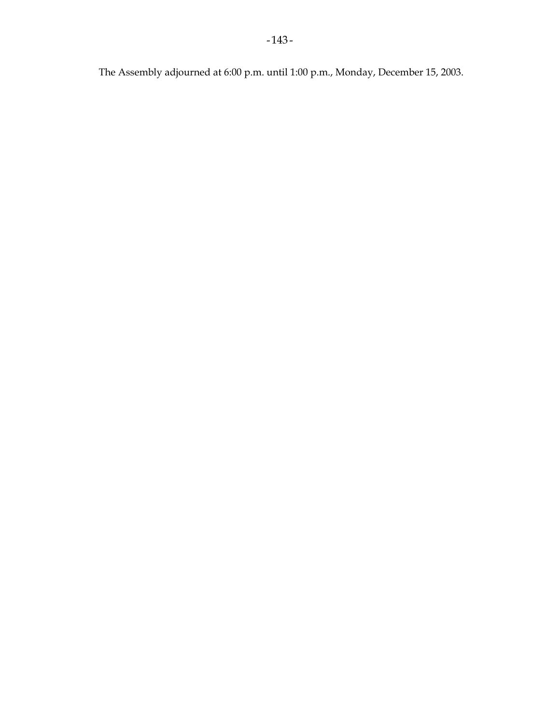The Assembly adjourned at 6:00 p.m. until 1:00 p.m., Monday, December 15, 2003.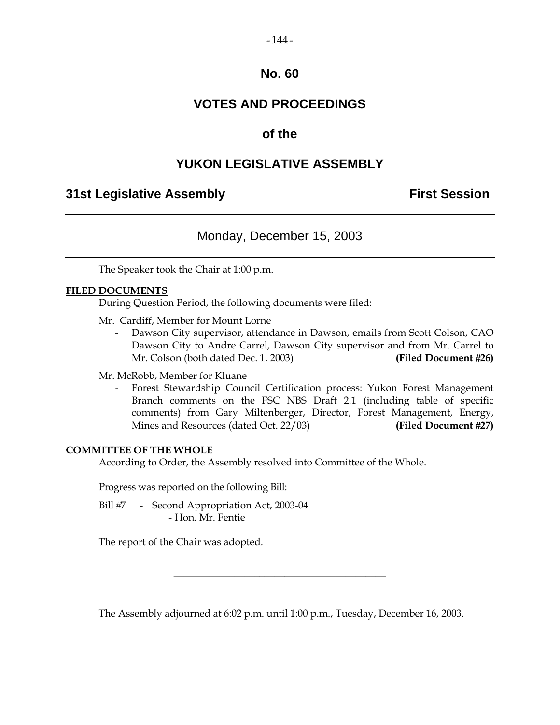# **VOTES AND PROCEEDINGS**

## **of the**

# **YUKON LEGISLATIVE ASSEMBLY**

## **31st Legislative Assembly First Session**

## Monday, December 15, 2003

The Speaker took the Chair at 1:00 p.m.

#### **FILED DOCUMENTS**

During Question Period, the following documents were filed:

Mr. Cardiff, Member for Mount Lorne

 - Dawson City supervisor, attendance in Dawson, emails from Scott Colson, CAO Dawson City to Andre Carrel, Dawson City supervisor and from Mr. Carrel to Mr. Colson (both dated Dec. 1, 2003) **(Filed Document 26)** 

Mr. McRobb, Member for Kluane

 - Forest Stewardship Council Certification process: Yukon Forest Management Branch comments on the FSC NBS Draft 2.1 (including table of specific comments) from Gary Miltenberger, Director, Forest Management, Energy, Mines and Resources (dated Oct. 22/03) **(Filed Document 27)**

#### **COMMITTEE OF THE WHOLE**

According to Order, the Assembly resolved into Committee of the Whole.

Progress was reported on the following Bill:

Bill #7 - Second Appropriation Act, 2003-04 - Hon. Mr. Fentie

The report of the Chair was adopted.

The Assembly adjourned at 6:02 p.m. until 1:00 p.m., Tuesday, December 16, 2003.

\_\_\_\_\_\_\_\_\_\_\_\_\_\_\_\_\_\_\_\_\_\_\_\_\_\_\_\_\_\_\_\_\_\_\_\_\_\_\_\_\_\_

 $-144-$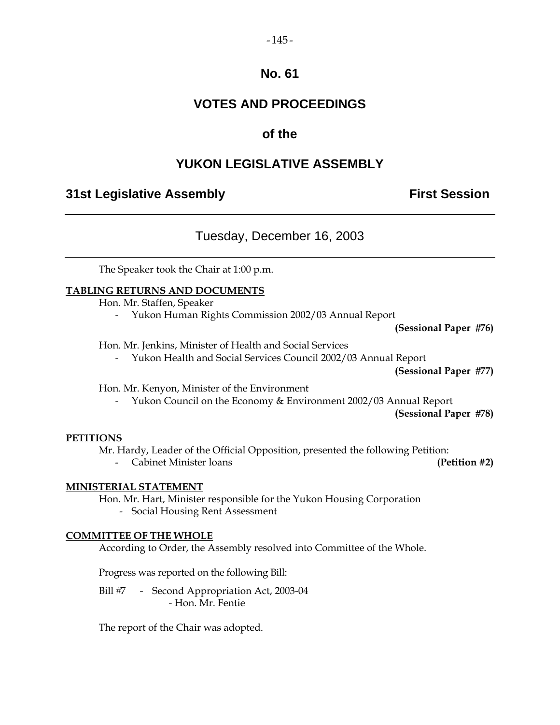# **VOTES AND PROCEEDINGS**

# **of the**

# **YUKON LEGISLATIVE ASSEMBLY**

# **31st Legislative Assembly First Session**

# Tuesday, December 16, 2003

The Speaker took the Chair at 1:00 p.m.

### **TABLING RETURNS AND DOCUMENTS**

Hon. Mr. Staffen, Speaker

- Yukon Human Rights Commission 2002/03 Annual Report

**(Sessional Paper 76)** 

Hon. Mr. Jenkins, Minister of Health and Social Services

- Yukon Health and Social Services Council 2002/03 Annual Report

**(Sessional Paper 77)** 

Hon. Mr. Kenyon, Minister of the Environment

- Yukon Council on the Economy & Environment 2002/03 Annual Report

**(Sessional Paper 78)** 

#### **PETITIONS**

Mr. Hardy, Leader of the Official Opposition, presented the following Petition:

- Cabinet Minister loans **(Petition #2)** 

#### **MINISTERIAL STATEMENT**

 Hon. Mr. Hart, Minister responsible for the Yukon Housing Corporation - Social Housing Rent Assessment

#### **COMMITTEE OF THE WHOLE**

According to Order, the Assembly resolved into Committee of the Whole.

Progress was reported on the following Bill:

Bill #7 - Second Appropriation Act, 2003-04 - Hon. Mr. Fentie

The report of the Chair was adopted.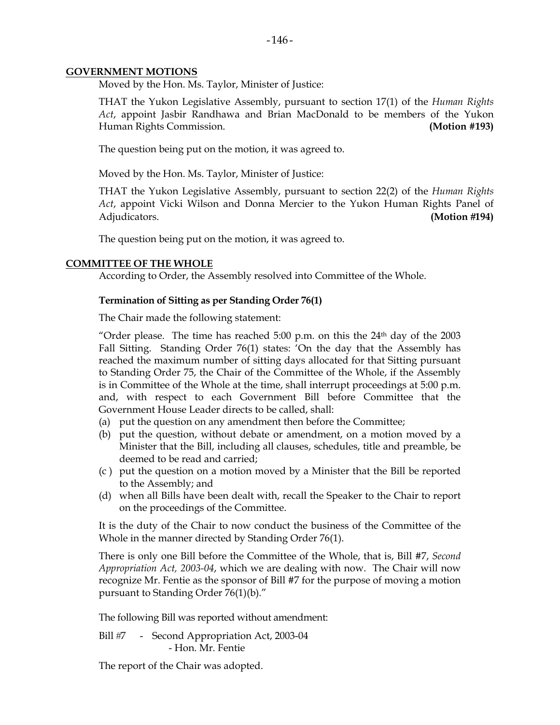#### **GOVERNMENT MOTIONS**

Moved by the Hon. Ms. Taylor, Minister of Justice:

 THAT the Yukon Legislative Assembly, pursuant to section 17(1) of the *Human Rights Act*, appoint Jasbir Randhawa and Brian MacDonald to be members of the Yukon Human Rights Commission. **(Motion #193)** 

The question being put on the motion, it was agreed to.

Moved by the Hon. Ms. Taylor, Minister of Justice:

 THAT the Yukon Legislative Assembly, pursuant to section 22(2) of the *Human Rights Act*, appoint Vicki Wilson and Donna Mercier to the Yukon Human Rights Panel of Adjudicators. **(Motion 194)**

The question being put on the motion, it was agreed to.

#### **COMMITTEE OF THE WHOLE**

According to Order, the Assembly resolved into Committee of the Whole.

#### **Termination of Sitting as per Standing Order 76(1)**

The Chair made the following statement:

"Order please. The time has reached 5:00 p.m. on this the  $24<sup>th</sup>$  day of the 2003 Fall Sitting. Standing Order 76(1) states: 'On the day that the Assembly has reached the maximum number of sitting days allocated for that Sitting pursuant to Standing Order 75, the Chair of the Committee of the Whole, if the Assembly is in Committee of the Whole at the time, shall interrupt proceedings at 5:00 p.m. and, with respect to each Government Bill before Committee that the Government House Leader directs to be called, shall:

- (a) put the question on any amendment then before the Committee;
- (b) put the question, without debate or amendment, on a motion moved by a Minister that the Bill, including all clauses, schedules, title and preamble, be deemed to be read and carried;
- (c ) put the question on a motion moved by a Minister that the Bill be reported to the Assembly; and
- (d) when all Bills have been dealt with, recall the Speaker to the Chair to report on the proceedings of the Committee.

It is the duty of the Chair to now conduct the business of the Committee of the Whole in the manner directed by Standing Order 76(1).

There is only one Bill before the Committee of the Whole, that is, Bill #7, *Second Appropriation Act, 2003-04*, which we are dealing with now. The Chair will now recognize Mr. Fentie as the sponsor of Bill #7 for the purpose of moving a motion pursuant to Standing Order 76(1)(b)."

The following Bill was reported without amendment:

Bill #7 - Second Appropriation Act, 2003-04 - Hon. Mr. Fentie

The report of the Chair was adopted.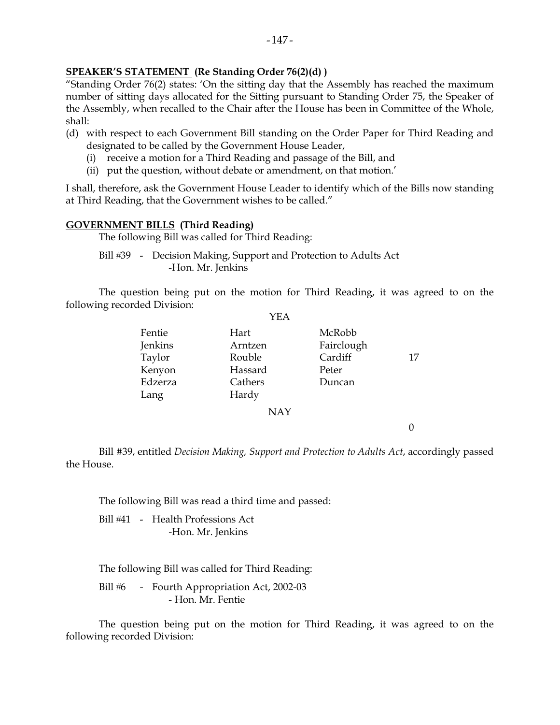## **SPEAKER'S STATEMENT (Re Standing Order 76(2)(d) )**

"Standing Order 76(2) states: 'On the sitting day that the Assembly has reached the maximum number of sitting days allocated for the Sitting pursuant to Standing Order 75, the Speaker of the Assembly, when recalled to the Chair after the House has been in Committee of the Whole, shall:

- (d) with respect to each Government Bill standing on the Order Paper for Third Reading and designated to be called by the Government House Leader,
	- (i) receive a motion for a Third Reading and passage of the Bill, and
	- (ii) put the question, without debate or amendment, on that motion.'

I shall, therefore, ask the Government House Leader to identify which of the Bills now standing at Third Reading, that the Government wishes to be called."

#### **GOVERNMENT BILLS (Third Reading)**

The following Bill was called for Third Reading:

Bill #39 - Decision Making, Support and Protection to Adults Act -Hon. Mr. Jenkins

 The question being put on the motion for Third Reading, it was agreed to on the following recorded Division:  $V<sub>E</sub>$ 

|         | I EA       |            |    |
|---------|------------|------------|----|
| Fentie  | Hart       | McRobb     |    |
| Jenkins | Arntzen    | Fairclough |    |
| Taylor  | Rouble     | Cardiff    | 17 |
| Kenyon  | Hassard    | Peter      |    |
| Edzerza | Cathers    | Duncan     |    |
| Lang    | Hardy      |            |    |
|         | <b>NAY</b> |            |    |
|         |            |            |    |

 Bill #39, entitled *Decision Making, Support and Protection to Adults Act*, accordingly passed the House.

The following Bill was read a third time and passed:

Bill #41 - Health Professions Act -Hon. Mr. Jenkins

The following Bill was called for Third Reading:

Bill #6 - Fourth Appropriation Act, 2002-03 - Hon. Mr. Fentie

 The question being put on the motion for Third Reading, it was agreed to on the following recorded Division: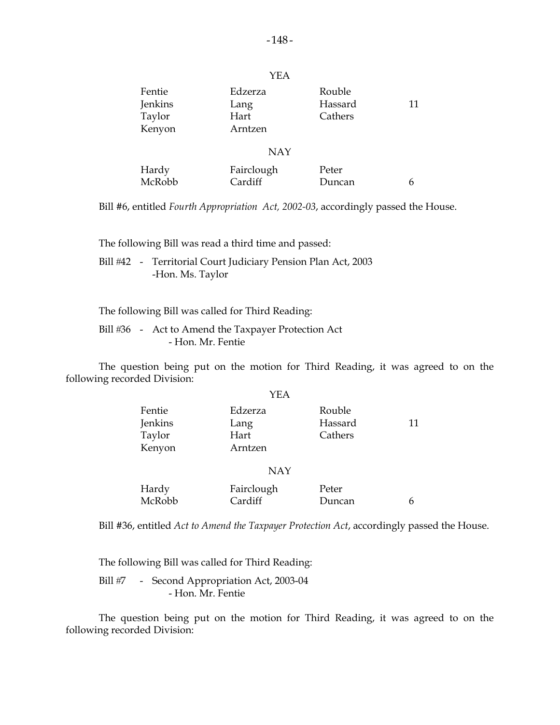|                                       | YEA                                |                              |    |
|---------------------------------------|------------------------------------|------------------------------|----|
| Fentie<br>Jenkins<br>Taylor<br>Kenyon | Edzerza<br>Lang<br>Hart<br>Arntzen | Rouble<br>Hassard<br>Cathers | 11 |
|                                       | <b>NAY</b>                         |                              |    |
| Hardy<br>McRobb                       | Fairclough<br>Cardiff              | Peter<br>Duncan              | h  |

Bill #6, entitled *Fourth Appropriation Act, 2002-03*, accordingly passed the House.

The following Bill was read a third time and passed:

 Bill 42 - Territorial Court Judiciary Pension Plan Act, 2003 -Hon. Ms. Taylor

The following Bill was called for Third Reading:

Bill #36 - Act to Amend the Taxpayer Protection Act - Hon. Mr. Fentie

 The question being put on the motion for Third Reading, it was agreed to on the following recorded Division:  $\cdot$ 

|         | YEA        |         |    |
|---------|------------|---------|----|
| Fentie  | Edzerza    | Rouble  |    |
| Jenkins | Lang       | Hassard | 11 |
| Taylor  | Hart       | Cathers |    |
| Kenyon  | Arntzen    |         |    |
|         | <b>NAY</b> |         |    |
|         |            |         |    |
| Hardy   | Fairclough | Peter   |    |
| McRobb  | Cardiff    | Duncan  | h  |
|         |            |         |    |

Bill #36, entitled *Act to Amend the Taxpayer Protection Act*, accordingly passed the House.

The following Bill was called for Third Reading:

Bill #7 - Second Appropriation Act, 2003-04 - Hon. Mr. Fentie

 The question being put on the motion for Third Reading, it was agreed to on the following recorded Division: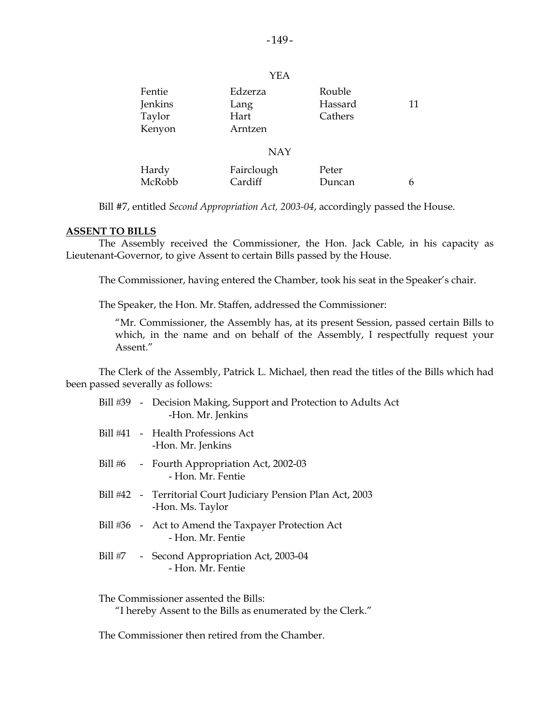| Fentie  | Edzerza    | Rouble  |    |
|---------|------------|---------|----|
| Jenkins | Lang       | Hassard | 11 |
| Taylor  | Hart       | Cathers |    |
| Kenyon  | Arntzen    |         |    |
|         |            |         |    |
|         | <b>NAY</b> |         |    |
| Hardy   | Fairclough | Peter   |    |
| McRobb  | Cardiff    | Duncan  | 6  |

Bill #7, entitled *Second Appropriation Act, 2003-04*, accordingly passed the House.

#### **ASSENT TO BILLS**

 The Assembly received the Commissioner, the Hon. Jack Cable, in his capacity as Lieutenant-Governor, to give Assent to certain Bills passed by the House.

The Commissioner, having entered the Chamber, took his seat in the Speaker's chair.

The Speaker, the Hon. Mr. Staffen, addressed the Commissioner:

 "Mr. Commissioner, the Assembly has, at its present Session, passed certain Bills to which, in the name and on behalf of the Assembly, I respectfully request your Assent."

 The Clerk of the Assembly, Patrick L. Michael, then read the titles of the Bills which had been passed severally as follows:

|  | Bill #39 - Decision Making, Support and Protection to Adults Act<br>-Hon. Mr. Jenkins |
|--|---------------------------------------------------------------------------------------|
|  | Bill #41 - Health Professions Act<br>-Hon. Mr. Jenkins                                |
|  | Bill #6 - Fourth Appropriation Act, 2002-03<br>- Hon, Mr. Fentie                      |
|  | Bill #42 - Territorial Court Judiciary Pension Plan Act, 2003<br>-Hon. Ms. Taylor     |
|  | Bill #36 - Act to Amend the Taxpayer Protection Act<br>- Hon. Mr. Fentie              |
|  | Bill #7 - Second Appropriation Act, 2003-04<br>- Hon, Mr. Fentie                      |
|  |                                                                                       |

The Commissioner assented the Bills:

"I hereby Assent to the Bills as enumerated by the Clerk."

The Commissioner then retired from the Chamber.

YEA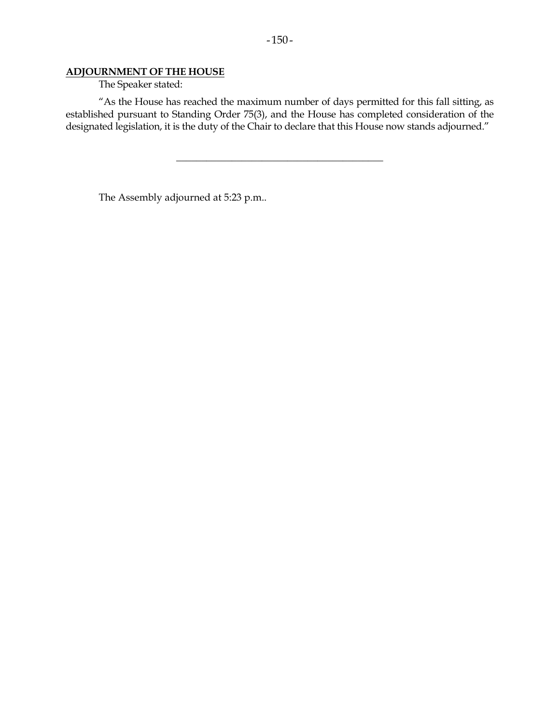## **ADJOURNMENT OF THE HOUSE**

The Speaker stated:

 "As the House has reached the maximum number of days permitted for this fall sitting, as established pursuant to Standing Order 75(3), and the House has completed consideration of the designated legislation, it is the duty of the Chair to declare that this House now stands adjourned."

\_\_\_\_\_\_\_\_\_\_\_\_\_\_\_\_\_\_\_\_\_\_\_\_\_\_\_\_\_\_\_\_\_\_\_\_\_\_\_\_\_

The Assembly adjourned at 5:23 p.m..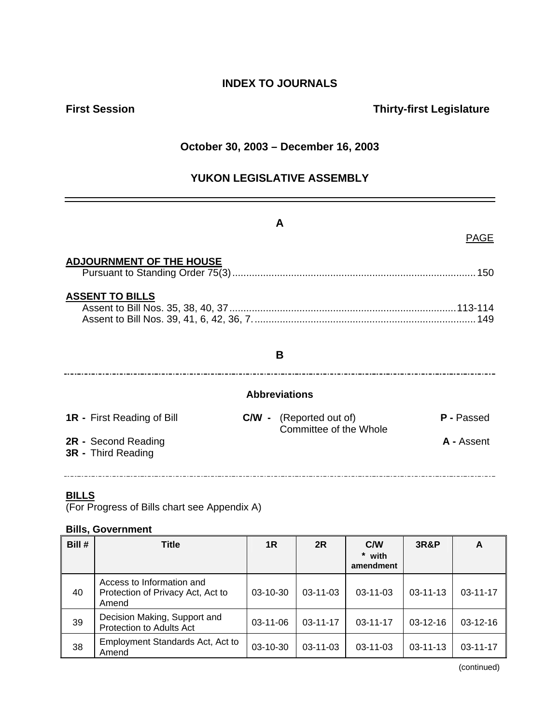# **INDEX TO JOURNALS**

## **First Session Contract Contract Contract Contract Contract Contract Contract Contract Contract Contract Contract Contract Contract Contract Contract Contract Contract Contract Contract Contract Contract Contract Contract**

## **October 30, 2003 – December 16, 2003**

## **YUKON LEGISLATIVE ASSEMBLY**

|                                                  | A                                                        | PAGE              |
|--------------------------------------------------|----------------------------------------------------------|-------------------|
| <b>ADJOURNMENT OF THE HOUSE</b>                  |                                                          |                   |
| <b>ASSENT TO BILLS</b>                           |                                                          |                   |
|                                                  | B                                                        |                   |
|                                                  | <b>Abbreviations</b>                                     |                   |
| <b>1R</b> - First Reading of Bill                | <b>C/W</b> - (Reported out of)<br>Committee of the Whole | P - Passed        |
| 2R - Second Reading<br><b>3R</b> - Third Reading |                                                          | <b>A</b> - Assent |

### **BILLS**

(For Progress of Bills chart see Appendix A)

### **Bills, Government**

| Bill # | <b>Title</b>                                                            | 1R         | 2R             | C/W<br>* with<br>amendment | <b>3R&amp;P</b> | A              |
|--------|-------------------------------------------------------------------------|------------|----------------|----------------------------|-----------------|----------------|
| 40     | Access to Information and<br>Protection of Privacy Act, Act to<br>Amend | $03-10-30$ | $03 - 11 - 03$ | $03 - 11 - 03$             | $03 - 11 - 13$  | $03 - 11 - 17$ |
| 39     | Decision Making, Support and<br>Protection to Adults Act                | $03-11-06$ | $03 - 11 - 17$ | $03 - 11 - 17$             | $03-12-16$      | $03-12-16$     |
| 38     | Employment Standards Act, Act to<br>Amend                               | 03-10-30   | $03 - 11 - 03$ | $03 - 11 - 03$             | $03 - 11 - 13$  | $03 - 11 - 17$ |

(continued)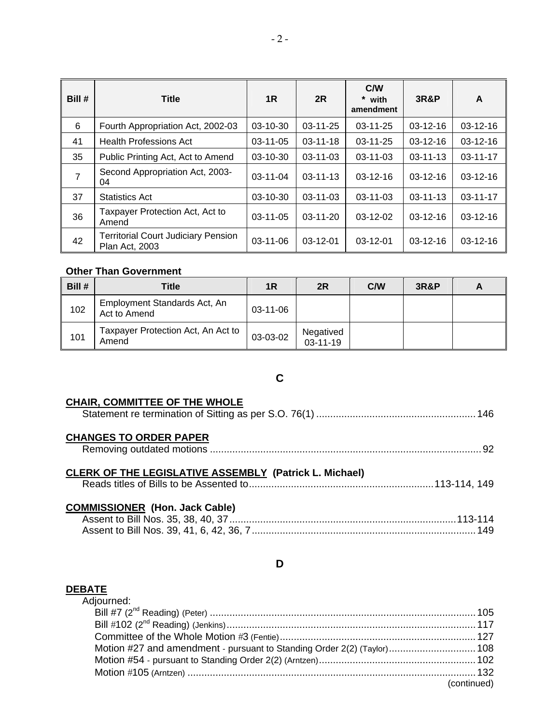| Bill #         | <b>Title</b>                                                        | 1R             | 2R             | C/W<br>* with<br>amendment | <b>3R&amp;P</b> | A              |
|----------------|---------------------------------------------------------------------|----------------|----------------|----------------------------|-----------------|----------------|
| 6              | Fourth Appropriation Act, 2002-03                                   | $03-10-30$     | $03 - 11 - 25$ | $03 - 11 - 25$             | $03 - 12 - 16$  | $03-12-16$     |
| 41             | <b>Health Professions Act</b>                                       | $03-11-05$     | $03 - 11 - 18$ | 03-11-25                   | 03-12-16        | $03-12-16$     |
| 35             | Public Printing Act, Act to Amend                                   | $03-10-30$     | 03-11-03       | $03 - 11 - 03$             | $03 - 11 - 13$  | $03 - 11 - 17$ |
| $\overline{7}$ | Second Appropriation Act, 2003-<br>04                               | $03-11-04$     | $03 - 11 - 13$ | $03 - 12 - 16$             | $03-12-16$      | $03-12-16$     |
| 37             | <b>Statistics Act</b>                                               | $03-10-30$     | $03 - 11 - 03$ | 03-11-03                   | $03 - 11 - 13$  | 03-11-17       |
| 36             | Taxpayer Protection Act, Act to<br>Amend                            | 03-11-05       | $03-11-20$     | $03-12-02$                 | $03-12-16$      | 03-12-16       |
| 42             | <b>Territorial Court Judiciary Pension</b><br><b>Plan Act, 2003</b> | $03 - 11 - 06$ | $03-12-01$     | $03-12-01$                 | $03-12-16$      | $03-12-16$     |

## **Other Than Government**

| Bill # | Title                                        | 1R             | 2R                          | C/W | <b>3R&amp;P</b> |  |
|--------|----------------------------------------------|----------------|-----------------------------|-----|-----------------|--|
| 102    | Employment Standards Act, An<br>Act to Amend | $03 - 11 - 06$ |                             |     |                 |  |
| 101    | Taxpayer Protection Act, An Act to<br>Amend  | 03-03-02       | Negatived<br>$03 - 11 - 19$ |     |                 |  |

# **C**

### **CHAIR, COMMITTEE OF THE WHOLE**

| <b>CHANGES TO ORDER PAPER</b>                                 |  |
|---------------------------------------------------------------|--|
| <b>CLERK OF THE LEGISLATIVE ASSEMBLY (Patrick L. Michael)</b> |  |
| <b>COMMISSIONER (Hon. Jack Cable)</b>                         |  |

## **D**

## **DEBATE**

| Adjourned:                                                              |             |
|-------------------------------------------------------------------------|-------------|
|                                                                         |             |
|                                                                         |             |
|                                                                         |             |
| Motion #27 and amendment - pursuant to Standing Order 2(2) (Taylor) 108 |             |
|                                                                         |             |
|                                                                         |             |
|                                                                         | (continued) |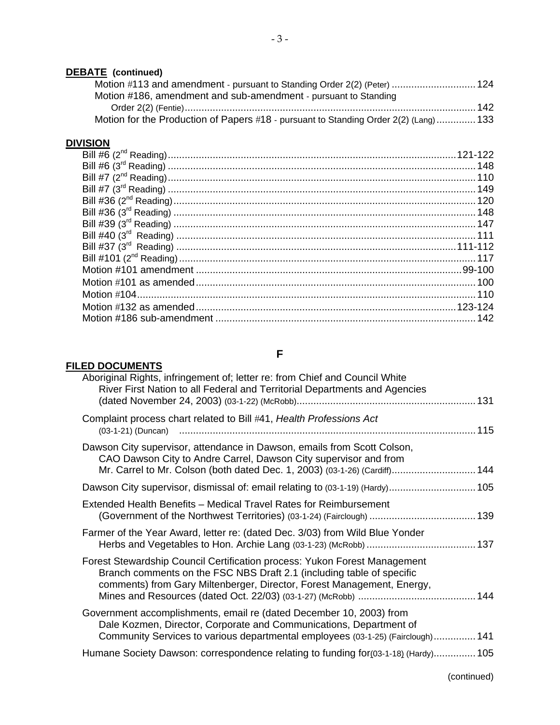## **DEBATE (continued)**

|     | Motion #113 and amendment - pursuant to Standing Order 2(2) (Peter)  124              |  |
|-----|---------------------------------------------------------------------------------------|--|
|     | Motion #186, amendment and sub-amendment - pursuant to Standing                       |  |
| 142 |                                                                                       |  |
|     | Motion for the Production of Papers #18 - pursuant to Standing Order 2(2) (Lang)  133 |  |

## **DIVISION**

# **FILED DOCUMENTS**

## **F**

| Aboriginal Rights, infringement of; letter re: from Chief and Council White<br>River First Nation to all Federal and Territorial Departments and Agencies                                                                    |  |
|------------------------------------------------------------------------------------------------------------------------------------------------------------------------------------------------------------------------------|--|
| Complaint process chart related to Bill #41, Health Professions Act                                                                                                                                                          |  |
| Dawson City supervisor, attendance in Dawson, emails from Scott Colson,<br>CAO Dawson City to Andre Carrel, Dawson City supervisor and from<br>Mr. Carrel to Mr. Colson (both dated Dec. 1, 2003) (03-1-26) (Cardiff) 144    |  |
| Dawson City supervisor, dismissal of: email relating to (03-1-19) (Hardy) 105                                                                                                                                                |  |
| Extended Health Benefits - Medical Travel Rates for Reimbursement<br>(Government of the Northwest Territories) (03-1-24) (Fairclough)  139                                                                                   |  |
| Farmer of the Year Award, letter re: (dated Dec. 3/03) from Wild Blue Yonder                                                                                                                                                 |  |
| Forest Stewardship Council Certification process: Yukon Forest Management<br>Branch comments on the FSC NBS Draft 2.1 (including table of specific<br>comments) from Gary Miltenberger, Director, Forest Management, Energy, |  |
| Government accomplishments, email re (dated December 10, 2003) from<br>Dale Kozmen, Director, Corporate and Communications, Department of<br>Community Services to various departmental employees (03-1-25) (Fairclough) 141 |  |
| Humane Society Dawson: correspondence relating to funding for (03-1-18) (Hardy) 105                                                                                                                                          |  |
|                                                                                                                                                                                                                              |  |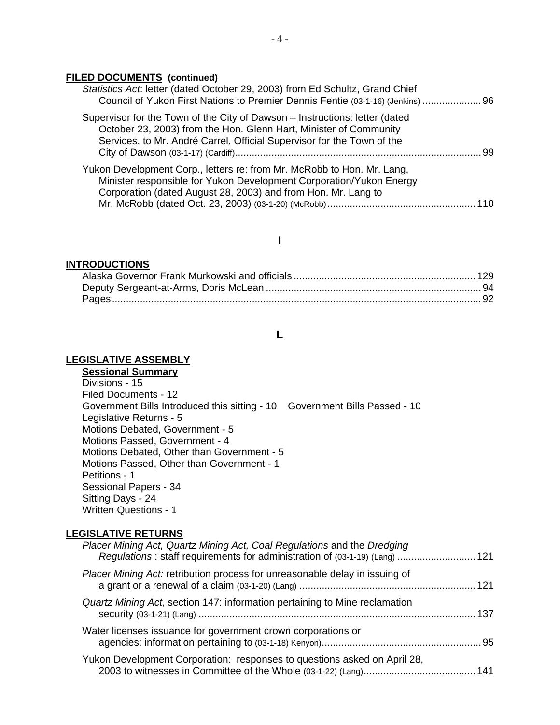#### **FILED DOCUMENTS (continued)**

| Statistics Act. letter (dated October 29, 2003) from Ed Schultz, Grand Chief<br>Council of Yukon First Nations to Premier Dennis Fentie (03-1-16) (Jenkins)  96                                                            |     |
|----------------------------------------------------------------------------------------------------------------------------------------------------------------------------------------------------------------------------|-----|
| Supervisor for the Town of the City of Dawson - Instructions: letter (dated<br>October 23, 2003) from the Hon. Glenn Hart, Minister of Community<br>Services, to Mr. André Carrel, Official Supervisor for the Town of the | -99 |
| Yukon Development Corp., letters re: from Mr. McRobb to Hon. Mr. Lang,<br>Minister responsible for Yukon Development Corporation/Yukon Energy<br>Corporation (dated August 28, 2003) and from Hon. Mr. Lang to             |     |
|                                                                                                                                                                                                                            |     |

#### **I**

#### **INTRODUCTIONS**

## **L**

#### **LEGISLATIVE ASSEMBLY**

## **Sessional Summary**

 Divisions - 15 Filed Documents - 12 Government Bills Introduced this sitting - 10 Government Bills Passed - 10 Legislative Returns - 5 Motions Debated, Government - 5 Motions Passed, Government - 4 Motions Debated, Other than Government - 5 Motions Passed, Other than Government - 1 Petitions - 1 Sessional Papers - 34 Sitting Days - 24 Written Questions - 1

#### **LEGISLATIVE RETURNS**

| Placer Mining Act, Quartz Mining Act, Coal Regulations and the Dredging<br>Regulations : staff requirements for administration of (03-1-19) (Lang)  121 |  |
|---------------------------------------------------------------------------------------------------------------------------------------------------------|--|
| <i>Placer Mining Act:</i> retribution process for unreasonable delay in issuing of                                                                      |  |
| Quartz Mining Act, section 147: information pertaining to Mine reclamation<br>137                                                                       |  |
| Water licenses issuance for government crown corporations or                                                                                            |  |
| Yukon Development Corporation: responses to questions asked on April 28,                                                                                |  |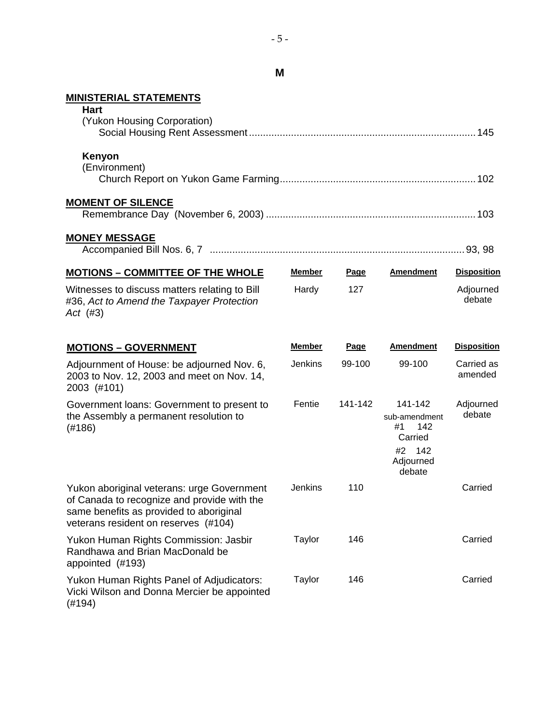**M** 

## **MINISTERIAL STATEMENTS**

| <b>Hart</b><br>(Yukon Housing Corporation)                                                                                                                                   |               |             |                                                                                   |                       |
|------------------------------------------------------------------------------------------------------------------------------------------------------------------------------|---------------|-------------|-----------------------------------------------------------------------------------|-----------------------|
| Kenyon<br>(Environment)                                                                                                                                                      |               |             |                                                                                   |                       |
| <b>MOMENT OF SILENCE</b>                                                                                                                                                     |               |             |                                                                                   |                       |
| <b>MONEY MESSAGE</b>                                                                                                                                                         |               |             |                                                                                   |                       |
| <b>MOTIONS - COMMITTEE OF THE WHOLE</b>                                                                                                                                      | <b>Member</b> | <b>Page</b> | <b>Amendment</b>                                                                  | <b>Disposition</b>    |
| Witnesses to discuss matters relating to Bill<br>#36, Act to Amend the Taxpayer Protection<br>Act $(#3)$                                                                     | Hardy         | 127         |                                                                                   | Adjourned<br>debate   |
| <b>MOTIONS - GOVERNMENT</b>                                                                                                                                                  | <b>Member</b> | Page        | <b>Amendment</b>                                                                  | <b>Disposition</b>    |
| Adjournment of House: be adjourned Nov. 6,<br>2003 to Nov. 12, 2003 and meet on Nov. 14,<br>2003 (#101)                                                                      | Jenkins       | 99-100      | 99-100                                                                            | Carried as<br>amended |
| Government loans: Government to present to<br>the Assembly a permanent resolution to<br>(#186)                                                                               | Fentie        | 141-142     | 141-142<br>sub-amendment<br>142<br>#1<br>Carried<br>#2 142<br>Adjourned<br>debate | Adjourned<br>debate   |
| Yukon aboriginal veterans: urge Government<br>of Canada to recognize and provide with the<br>same benefits as provided to aboriginal<br>veterans resident on reserves (#104) | Jenkins       | 110         |                                                                                   | Carried               |
| Yukon Human Rights Commission: Jasbir<br>Randhawa and Brian MacDonald be<br>appointed (#193)                                                                                 | Taylor        | 146         |                                                                                   | Carried               |
| Yukon Human Rights Panel of Adjudicators:<br>Vicki Wilson and Donna Mercier be appointed<br>(#194)                                                                           | <b>Taylor</b> | 146         |                                                                                   | Carried               |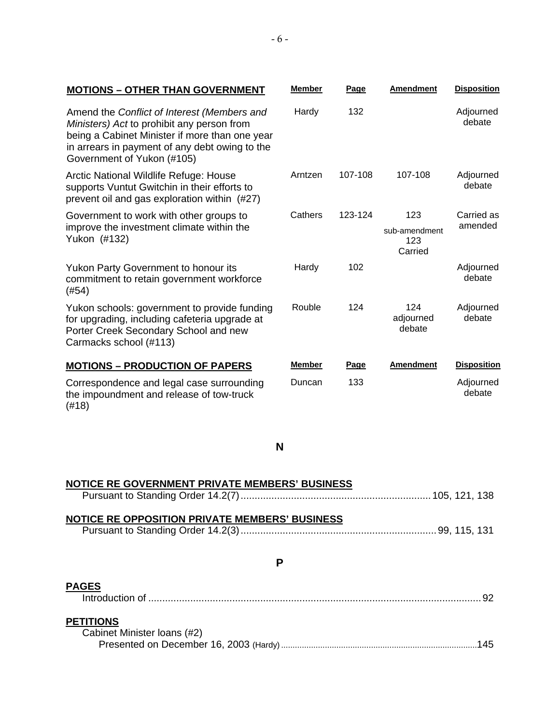| <b>MOTIONS - OTHER THAN GOVERNMENT</b>                                                                                                                                                                                      | <b>Member</b> | Page    | <b>Amendment</b>                       | <b>Disposition</b>    |
|-----------------------------------------------------------------------------------------------------------------------------------------------------------------------------------------------------------------------------|---------------|---------|----------------------------------------|-----------------------|
| Amend the Conflict of Interest (Members and<br>Ministers) Act to prohibit any person from<br>being a Cabinet Minister if more than one year<br>in arrears in payment of any debt owing to the<br>Government of Yukon (#105) | Hardy         | 132     |                                        | Adjourned<br>debate   |
| Arctic National Wildlife Refuge: House<br>supports Vuntut Gwitchin in their efforts to<br>prevent oil and gas exploration within (#27)                                                                                      | Arntzen       | 107-108 | 107-108                                | Adjourned<br>debate   |
| Government to work with other groups to<br>improve the investment climate within the<br>Yukon (#132)                                                                                                                        | Cathers       | 123-124 | 123<br>sub-amendment<br>123<br>Carried | Carried as<br>amended |
| Yukon Party Government to honour its<br>commitment to retain government workforce<br>(#54)                                                                                                                                  | Hardy         | 102     |                                        | Adjourned<br>debate   |
| Yukon schools: government to provide funding<br>for upgrading, including cafeteria upgrade at<br>Porter Creek Secondary School and new<br>Carmacks school (#113)                                                            | Rouble        | 124     | 124<br>adjourned<br>debate             | Adjourned<br>debate   |
| <b>MOTIONS - PRODUCTION OF PAPERS</b>                                                                                                                                                                                       | <b>Member</b> | Page    | <b>Amendment</b>                       | <b>Disposition</b>    |
| Correspondence and legal case surrounding<br>the impoundment and release of tow-truck<br>(#18)                                                                                                                              | Duncan        | 133     |                                        | Adjourned<br>debate   |
|                                                                                                                                                                                                                             | N             |         |                                        |                       |
| NOTICE RE GOVERNMENT PRIVATE MEMBERS' BUSINESS                                                                                                                                                                              |               |         |                                        |                       |

| NOTICE RE OPPOSITION PRIVATE MEMBERS' BUSINESS |  |  |
|------------------------------------------------|--|--|
|                                                |  |  |
|                                                |  |  |

| ٦ |
|---|
| I |
|   |

# **PAGES**

|--|--|--|--|--|--|--|

# **PETITIONS**

| Cabinet Minister Ioans (#2) |  |
|-----------------------------|--|
|                             |  |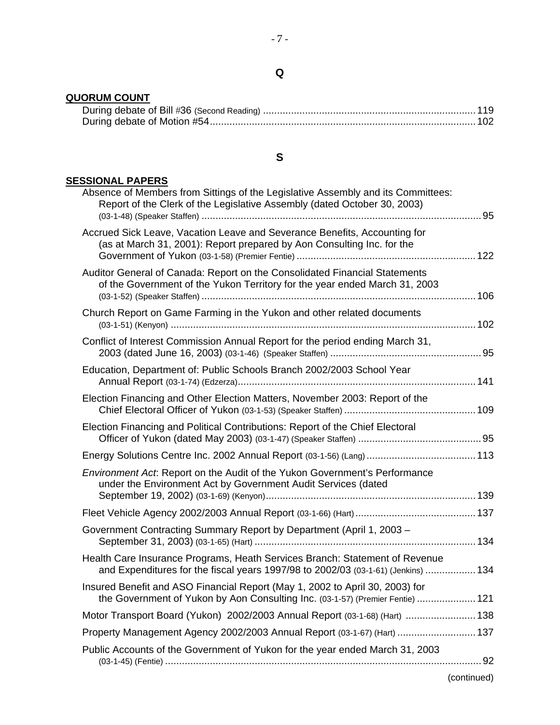## **QUORUM COUNT**

## **S**

## **SESSIONAL PAPERS**

| Accrued Sick Leave, Vacation Leave and Severance Benefits, Accounting for<br>(as at March 31, 2001): Report prepared by Aon Consulting Inc. for the<br>Auditor General of Canada: Report on the Consolidated Financial Statements<br>of the Government of the Yukon Territory for the year ended March 31, 2003<br>Church Report on Game Farming in the Yukon and other related documents<br>Conflict of Interest Commission Annual Report for the period ending March 31,<br>Education, Department of: Public Schools Branch 2002/2003 School Year<br>Election Financing and Other Election Matters, November 2003: Report of the<br>Election Financing and Political Contributions: Report of the Chief Electoral<br><b>Environment Act: Report on the Audit of the Yukon Government's Performance</b><br>under the Environment Act by Government Audit Services (dated<br>Government Contracting Summary Report by Department (April 1, 2003 -<br>Health Care Insurance Programs, Heath Services Branch: Statement of Revenue<br>and Expenditures for the fiscal years 1997/98 to 2002/03 (03-1-61) (Jenkins)  134<br>Insured Benefit and ASO Financial Report (May 1, 2002 to April 30, 2003) for<br>the Government of Yukon by Aon Consulting Inc. (03-1-57) (Premier Fentie)  121<br>Motor Transport Board (Yukon) 2002/2003 Annual Report (03-1-68) (Hart)  138<br>Property Management Agency 2002/2003 Annual Report (03-1-67) (Hart)  137<br>Public Accounts of the Government of Yukon for the year ended March 31, 2003 | Absence of Members from Sittings of the Legislative Assembly and its Committees:<br>Report of the Clerk of the Legislative Assembly (dated October 30, 2003) |  |
|------------------------------------------------------------------------------------------------------------------------------------------------------------------------------------------------------------------------------------------------------------------------------------------------------------------------------------------------------------------------------------------------------------------------------------------------------------------------------------------------------------------------------------------------------------------------------------------------------------------------------------------------------------------------------------------------------------------------------------------------------------------------------------------------------------------------------------------------------------------------------------------------------------------------------------------------------------------------------------------------------------------------------------------------------------------------------------------------------------------------------------------------------------------------------------------------------------------------------------------------------------------------------------------------------------------------------------------------------------------------------------------------------------------------------------------------------------------------------------------------------------------------------------|--------------------------------------------------------------------------------------------------------------------------------------------------------------|--|
|                                                                                                                                                                                                                                                                                                                                                                                                                                                                                                                                                                                                                                                                                                                                                                                                                                                                                                                                                                                                                                                                                                                                                                                                                                                                                                                                                                                                                                                                                                                                    |                                                                                                                                                              |  |
|                                                                                                                                                                                                                                                                                                                                                                                                                                                                                                                                                                                                                                                                                                                                                                                                                                                                                                                                                                                                                                                                                                                                                                                                                                                                                                                                                                                                                                                                                                                                    |                                                                                                                                                              |  |
|                                                                                                                                                                                                                                                                                                                                                                                                                                                                                                                                                                                                                                                                                                                                                                                                                                                                                                                                                                                                                                                                                                                                                                                                                                                                                                                                                                                                                                                                                                                                    |                                                                                                                                                              |  |
|                                                                                                                                                                                                                                                                                                                                                                                                                                                                                                                                                                                                                                                                                                                                                                                                                                                                                                                                                                                                                                                                                                                                                                                                                                                                                                                                                                                                                                                                                                                                    |                                                                                                                                                              |  |
|                                                                                                                                                                                                                                                                                                                                                                                                                                                                                                                                                                                                                                                                                                                                                                                                                                                                                                                                                                                                                                                                                                                                                                                                                                                                                                                                                                                                                                                                                                                                    |                                                                                                                                                              |  |
|                                                                                                                                                                                                                                                                                                                                                                                                                                                                                                                                                                                                                                                                                                                                                                                                                                                                                                                                                                                                                                                                                                                                                                                                                                                                                                                                                                                                                                                                                                                                    |                                                                                                                                                              |  |
|                                                                                                                                                                                                                                                                                                                                                                                                                                                                                                                                                                                                                                                                                                                                                                                                                                                                                                                                                                                                                                                                                                                                                                                                                                                                                                                                                                                                                                                                                                                                    |                                                                                                                                                              |  |
|                                                                                                                                                                                                                                                                                                                                                                                                                                                                                                                                                                                                                                                                                                                                                                                                                                                                                                                                                                                                                                                                                                                                                                                                                                                                                                                                                                                                                                                                                                                                    |                                                                                                                                                              |  |
|                                                                                                                                                                                                                                                                                                                                                                                                                                                                                                                                                                                                                                                                                                                                                                                                                                                                                                                                                                                                                                                                                                                                                                                                                                                                                                                                                                                                                                                                                                                                    |                                                                                                                                                              |  |
|                                                                                                                                                                                                                                                                                                                                                                                                                                                                                                                                                                                                                                                                                                                                                                                                                                                                                                                                                                                                                                                                                                                                                                                                                                                                                                                                                                                                                                                                                                                                    |                                                                                                                                                              |  |
|                                                                                                                                                                                                                                                                                                                                                                                                                                                                                                                                                                                                                                                                                                                                                                                                                                                                                                                                                                                                                                                                                                                                                                                                                                                                                                                                                                                                                                                                                                                                    |                                                                                                                                                              |  |
|                                                                                                                                                                                                                                                                                                                                                                                                                                                                                                                                                                                                                                                                                                                                                                                                                                                                                                                                                                                                                                                                                                                                                                                                                                                                                                                                                                                                                                                                                                                                    |                                                                                                                                                              |  |
|                                                                                                                                                                                                                                                                                                                                                                                                                                                                                                                                                                                                                                                                                                                                                                                                                                                                                                                                                                                                                                                                                                                                                                                                                                                                                                                                                                                                                                                                                                                                    |                                                                                                                                                              |  |
|                                                                                                                                                                                                                                                                                                                                                                                                                                                                                                                                                                                                                                                                                                                                                                                                                                                                                                                                                                                                                                                                                                                                                                                                                                                                                                                                                                                                                                                                                                                                    |                                                                                                                                                              |  |
|                                                                                                                                                                                                                                                                                                                                                                                                                                                                                                                                                                                                                                                                                                                                                                                                                                                                                                                                                                                                                                                                                                                                                                                                                                                                                                                                                                                                                                                                                                                                    |                                                                                                                                                              |  |
|                                                                                                                                                                                                                                                                                                                                                                                                                                                                                                                                                                                                                                                                                                                                                                                                                                                                                                                                                                                                                                                                                                                                                                                                                                                                                                                                                                                                                                                                                                                                    |                                                                                                                                                              |  |

(continued)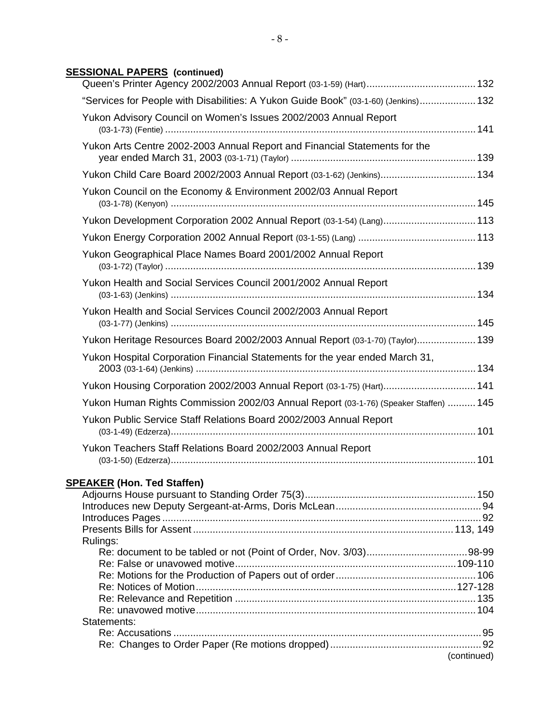## **SESSIONAL PAPERS (continued)**

| "Services for People with Disabilities: A Yukon Guide Book" (03-1-60) (Jenkins) 132  |             |
|--------------------------------------------------------------------------------------|-------------|
| Yukon Advisory Council on Women's Issues 2002/2003 Annual Report                     |             |
| Yukon Arts Centre 2002-2003 Annual Report and Financial Statements for the           |             |
| Yukon Child Care Board 2002/2003 Annual Report (03-1-62) (Jenkins) 134               |             |
| Yukon Council on the Economy & Environment 2002/03 Annual Report                     |             |
| Yukon Development Corporation 2002 Annual Report (03-1-54) (Lang) 113                |             |
|                                                                                      |             |
| Yukon Geographical Place Names Board 2001/2002 Annual Report                         |             |
| Yukon Health and Social Services Council 2001/2002 Annual Report                     |             |
| Yukon Health and Social Services Council 2002/2003 Annual Report                     |             |
| Yukon Heritage Resources Board 2002/2003 Annual Report (03-1-70) (Taylor) 139        |             |
| Yukon Hospital Corporation Financial Statements for the year ended March 31,         |             |
| Yukon Housing Corporation 2002/2003 Annual Report (03-1-75) (Hart) 141               |             |
| Yukon Human Rights Commission 2002/03 Annual Report (03-1-76) (Speaker Staffen)  145 |             |
| Yukon Public Service Staff Relations Board 2002/2003 Annual Report                   |             |
| Yukon Teachers Staff Relations Board 2002/2003 Annual Report                         |             |
|                                                                                      |             |
| <b>SPEAKER (Hon. Ted Staffen)</b>                                                    |             |
|                                                                                      |             |
|                                                                                      |             |
|                                                                                      |             |
| Rulings:                                                                             |             |
|                                                                                      |             |
|                                                                                      |             |
|                                                                                      |             |
|                                                                                      |             |
| Statements:                                                                          |             |
|                                                                                      |             |
|                                                                                      |             |
|                                                                                      | (continued) |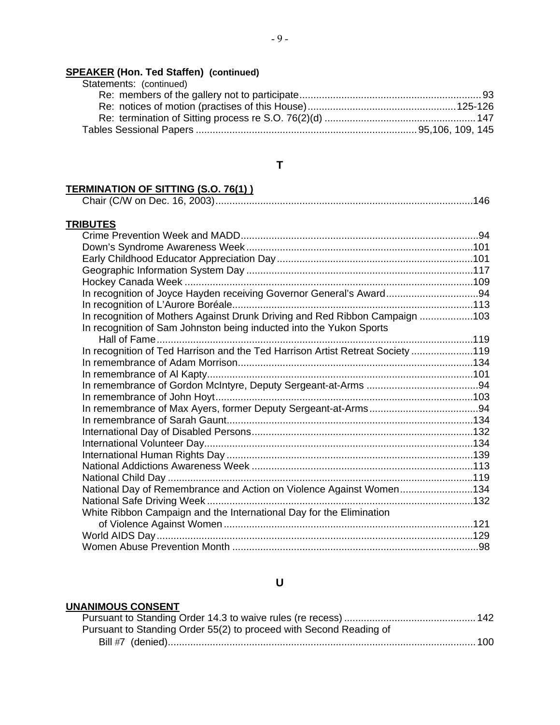## **SPEAKER (Hon. Ted Staffen) (continued)**

| Statements: (continued) |  |
|-------------------------|--|
|                         |  |
|                         |  |
|                         |  |
|                         |  |

## **T**

# **TERMINATION OF SITTING (S.O. 76(1) )**

## **TRIBUTES**

| In recognition of Joyce Hayden receiving Governor General's Award94            |  |
|--------------------------------------------------------------------------------|--|
|                                                                                |  |
| In recognition of Mothers Against Drunk Driving and Red Ribbon Campaign 103    |  |
| In recognition of Sam Johnston being inducted into the Yukon Sports            |  |
|                                                                                |  |
| In recognition of Ted Harrison and the Ted Harrison Artist Retreat Society 119 |  |
|                                                                                |  |
|                                                                                |  |
|                                                                                |  |
|                                                                                |  |
|                                                                                |  |
|                                                                                |  |
|                                                                                |  |
|                                                                                |  |
|                                                                                |  |
|                                                                                |  |
|                                                                                |  |
| National Day of Remembrance and Action on Violence Against Women134            |  |
|                                                                                |  |
| White Ribbon Campaign and the International Day for the Elimination            |  |
|                                                                                |  |
|                                                                                |  |
|                                                                                |  |

## **U**

## **UNANIMOUS CONSENT**

| Pursuant to Standing Order 55(2) to proceed with Second Reading of |  |
|--------------------------------------------------------------------|--|
|                                                                    |  |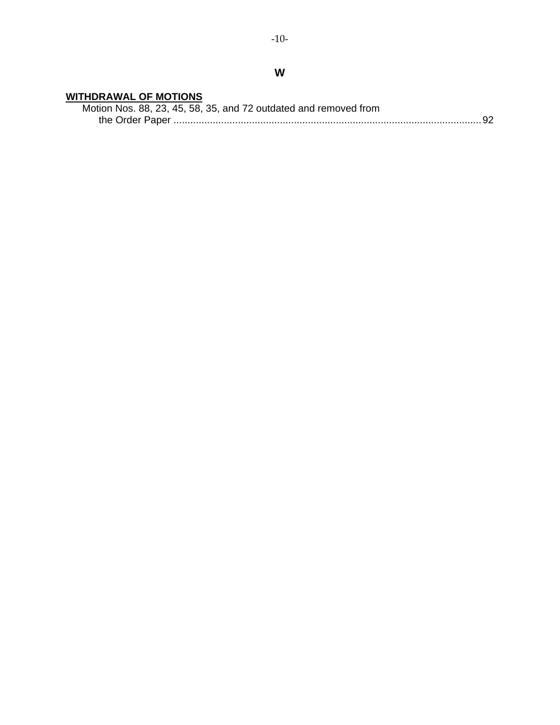## **WITHDRAWAL OF MOTIONS**

| Motion Nos. 88, 23, 45, 58, 35, and 72 outdated and removed from |  |
|------------------------------------------------------------------|--|
|                                                                  |  |

**W**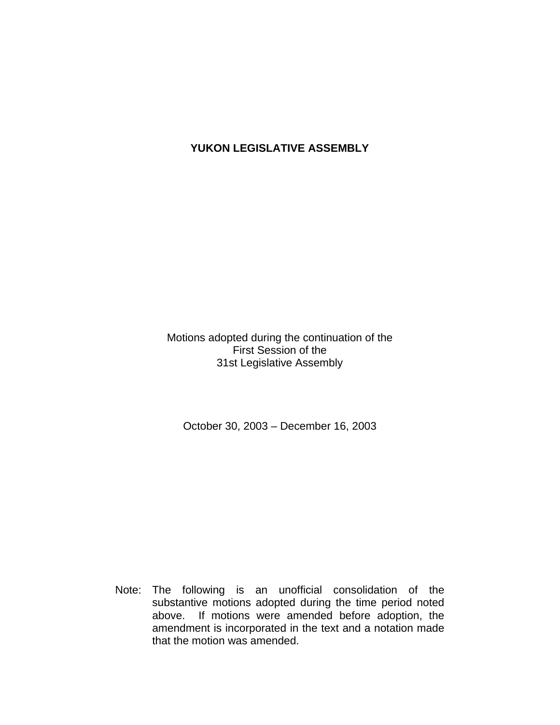# **YUKON LEGISLATIVE ASSEMBLY**

Motions adopted during the continuation of the First Session of the 31st Legislative Assembly

October 30, 2003 – December 16, 2003

 Note: The following is an unofficial consolidation of the substantive motions adopted during the time period noted above. If motions were amended before adoption, the amendment is incorporated in the text and a notation made that the motion was amended.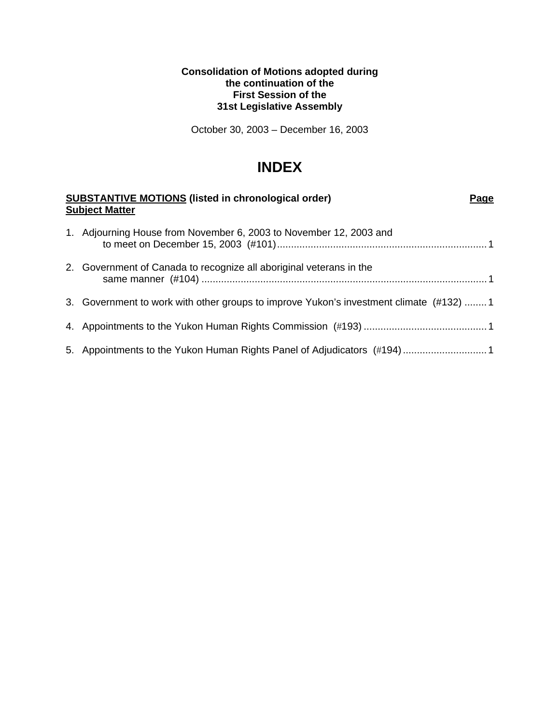#### **Consolidation of Motions adopted during the continuation of the First Session of the 31st Legislative Assembly**

October 30, 2003 – December 16, 2003

# **INDEX**

| <b>SUBSTANTIVE MOTIONS (listed in chronological order)</b><br><b>Subject Matter</b>    | Page |
|----------------------------------------------------------------------------------------|------|
| 1. Adjourning House from November 6, 2003 to November 12, 2003 and                     |      |
| 2. Government of Canada to recognize all aboriginal veterans in the                    |      |
| 3. Government to work with other groups to improve Yukon's investment climate (#132) 1 |      |
|                                                                                        |      |
| 5. Appointments to the Yukon Human Rights Panel of Adjudicators (#194) 1               |      |